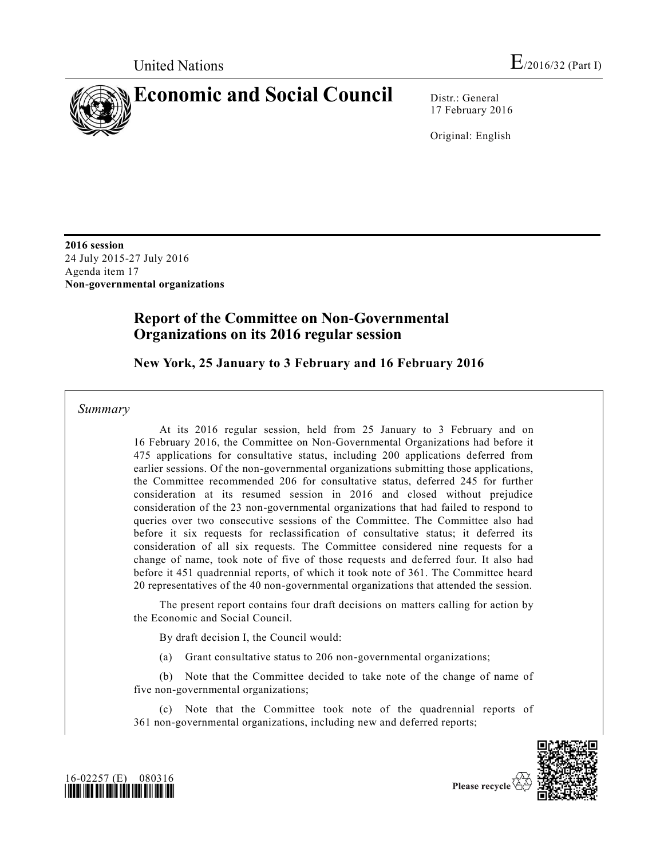

17 February 2016

Original: English

**2016 session**  24 July 2015-27 July 2016 Agenda item 17 **Non-governmental organizations**

# **Report of the Committee on Non-Governmental Organizations on its 2016 regular session**

# **New York, 25 January to 3 February and 16 February 2016**

*Summary*

At its 2016 regular session, held from 25 January to 3 February and on 16 February 2016, the Committee on Non-Governmental Organizations had before it 475 applications for consultative status, including 200 applications deferred from earlier sessions. Of the non-governmental organizations submitting those applications, the Committee recommended 206 for consultative status, deferred 245 for further consideration at its resumed session in 2016 and closed without prejudice consideration of the 23 non-governmental organizations that had failed to respond to queries over two consecutive sessions of the Committee. The Committee also had before it six requests for reclassification of consultative status; it deferred its consideration of all six requests. The Committee considered nine requests for a change of name, took note of five of those requests and deferred four. It also had before it 451 quadrennial reports, of which it took note of 361. The Committee heard 20 representatives of the 40 non-governmental organizations that attended the session.

The present report contains four draft decisions on matters calling for action by the Economic and Social Council.

By draft decision I, the Council would:

(a) Grant consultative status to 206 non-governmental organizations;

(b) Note that the Committee decided to take note of the change of name of five non-governmental organizations;

(c) Note that the Committee took note of the quadrennial reports of 361 non-governmental organizations, including new and deferred reports;





Please recycle  $\overline{\mathbf{S}}$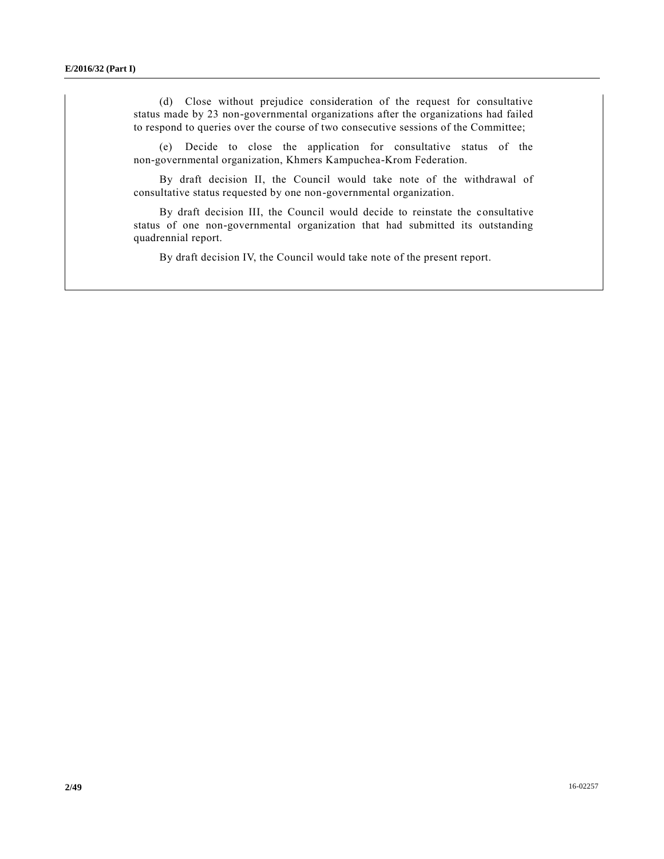(d) Close without prejudice consideration of the request for consultative status made by 23 non-governmental organizations after the organizations had failed to respond to queries over the course of two consecutive sessions of the Committee;

(e) Decide to close the application for consultative status of the non-governmental organization, Khmers Kampuchea-Krom Federation.

By draft decision II, the Council would take note of the withdrawal of consultative status requested by one non-governmental organization.

By draft decision III, the Council would decide to reinstate the consultative status of one non-governmental organization that had submitted its outstanding quadrennial report.

By draft decision IV, the Council would take note of the present report.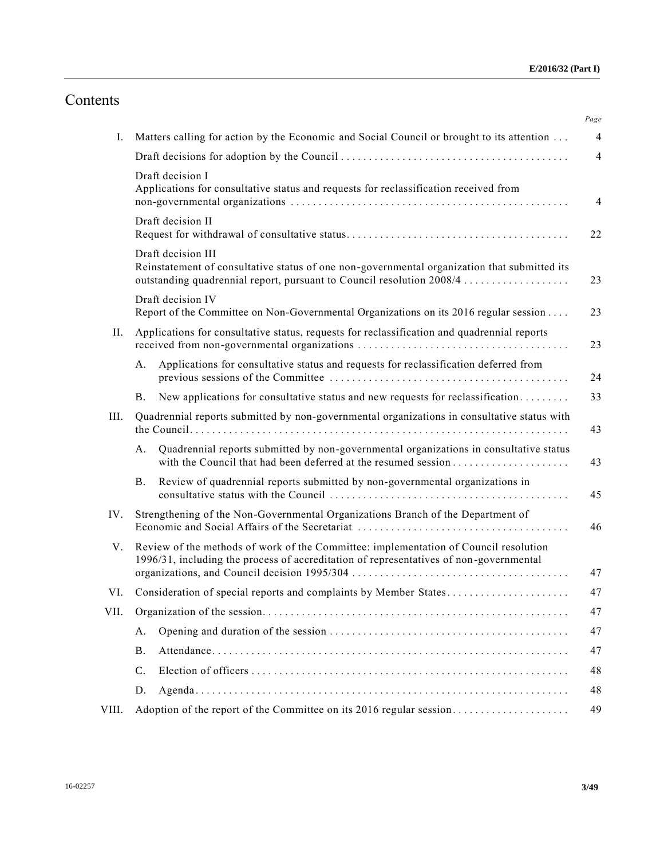# Contents

|       |                                                                                                                                                                                             | Page           |
|-------|---------------------------------------------------------------------------------------------------------------------------------------------------------------------------------------------|----------------|
| Ι.    | Matters calling for action by the Economic and Social Council or brought to its attention                                                                                                   | $\overline{4}$ |
|       |                                                                                                                                                                                             | $\overline{4}$ |
|       | Draft decision I<br>Applications for consultative status and requests for reclassification received from                                                                                    | $\overline{4}$ |
|       | Draft decision II                                                                                                                                                                           | 22             |
|       | Draft decision III<br>Reinstatement of consultative status of one non-governmental organization that submitted its<br>outstanding quadrennial report, pursuant to Council resolution 2008/4 | 23             |
|       | Draft decision IV<br>Report of the Committee on Non-Governmental Organizations on its 2016 regular session                                                                                  | 23             |
| П.    | Applications for consultative status, requests for reclassification and quadrennial reports                                                                                                 | 23             |
|       | Applications for consultative status and requests for reclassification deferred from<br>A.                                                                                                  | 24             |
|       | New applications for consultative status and new requests for reclassification<br><b>B.</b>                                                                                                 | 33             |
| III.  | Quadrennial reports submitted by non-governmental organizations in consultative status with                                                                                                 | 43             |
|       | Quadrennial reports submitted by non-governmental organizations in consultative status<br>А.                                                                                                | 43             |
|       | Review of quadrennial reports submitted by non-governmental organizations in<br><b>B.</b>                                                                                                   | 45             |
| IV.   | Strengthening of the Non-Governmental Organizations Branch of the Department of                                                                                                             | 46             |
| V.    | Review of the methods of work of the Committee: implementation of Council resolution<br>1996/31, including the process of accreditation of representatives of non-governmental              | 47             |
| VI.   | Consideration of special reports and complaints by Member States                                                                                                                            | 47             |
| VII.  |                                                                                                                                                                                             | 47             |
|       | A.                                                                                                                                                                                          | 47             |
|       | <b>B.</b>                                                                                                                                                                                   | 47             |
|       | C.                                                                                                                                                                                          | 48             |
|       | D.                                                                                                                                                                                          | 48             |
| VIII. |                                                                                                                                                                                             | 49             |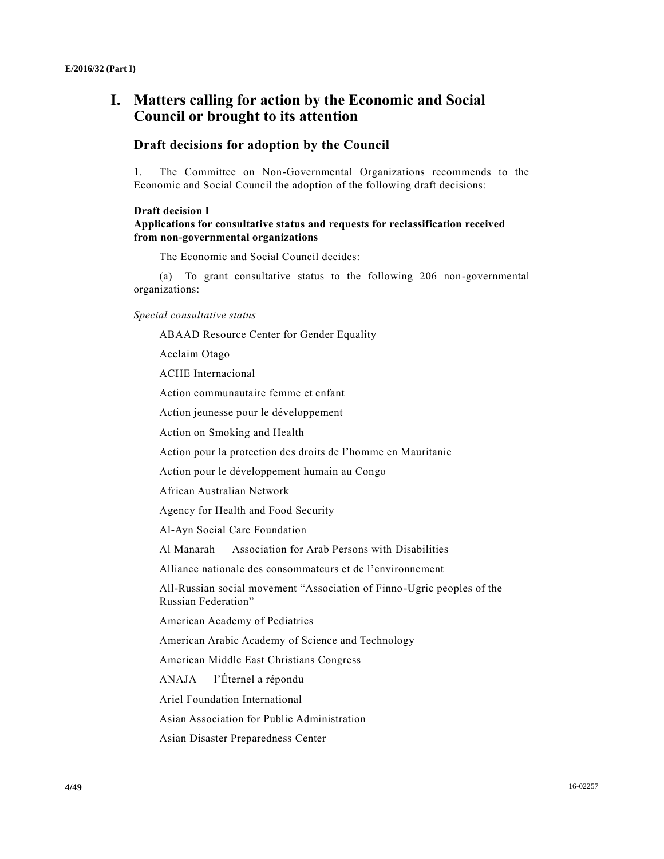# **I. Matters calling for action by the Economic and Social Council or brought to its attention**

### **Draft decisions for adoption by the Council**

1. The Committee on Non-Governmental Organizations recommends to the Economic and Social Council the adoption of the following draft decisions:

#### **Draft decision I**

### **Applications for consultative status and requests for reclassification received from non-governmental organizations**

The Economic and Social Council decides:

(a) To grant consultative status to the following 206 non-governmental organizations:

*Special consultative status*

ABAAD Resource Center for Gender Equality

Acclaim Otago

ACHE Internacional

Action communautaire femme et enfant

Action jeunesse pour le développement

Action on Smoking and Health

Action pour la protection des droits de l'homme en Mauritanie

Action pour le développement humain au Congo

African Australian Network

Agency for Health and Food Security

Al-Ayn Social Care Foundation

Al Manarah — Association for Arab Persons with Disabilities

Alliance nationale des consommateurs et de l'environnement

All-Russian social movement "Association of Finno-Ugric peoples of the Russian Federation"

American Academy of Pediatrics

American Arabic Academy of Science and Technology

American Middle East Christians Congress

ANAJA — l'Éternel a répondu

Ariel Foundation International

Asian Association for Public Administration

Asian Disaster Preparedness Center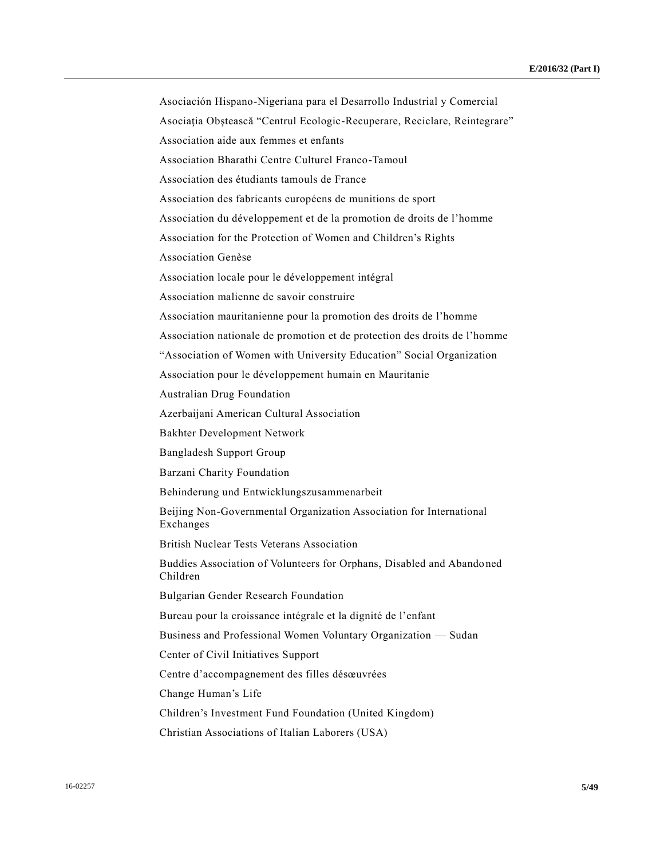Asociación Hispano-Nigeriana para el Desarrollo Industrial y Comercial Asociaţia Obştească "Centrul Ecologic-Recuperare, Reciclare, Reintegrare" Association aide aux femmes et enfants Association Bharathi Centre Culturel Franco-Tamoul Association des étudiants tamouls de France Association des fabricants européens de munitions de sport Association du développement et de la promotion de droits de l'homme Association for the Protection of Women and Children's Rights Association Genèse Association locale pour le développement intégral Association malienne de savoir construire Association mauritanienne pour la promotion des droits de l'homme Association nationale de promotion et de protection des droits de l'homme "Association of Women with University Education" Social Organization Association pour le développement humain en Mauritanie Australian Drug Foundation Azerbaijani American Cultural Association Bakhter Development Network Bangladesh Support Group Barzani Charity Foundation Behinderung und Entwicklungszusammenarbeit Beijing Non-Governmental Organization Association for International Exchanges British Nuclear Tests Veterans Association Buddies Association of Volunteers for Orphans, Disabled and Abandoned Children Bulgarian Gender Research Foundation Bureau pour la croissance intégrale et la dignité de l'enfant Business and Professional Women Voluntary Organization — Sudan Center of Civil Initiatives Support Centre d'accompagnement des filles désœuvrées Change Human's Life Children's Investment Fund Foundation (United Kingdom) Christian Associations of Italian Laborers (USA)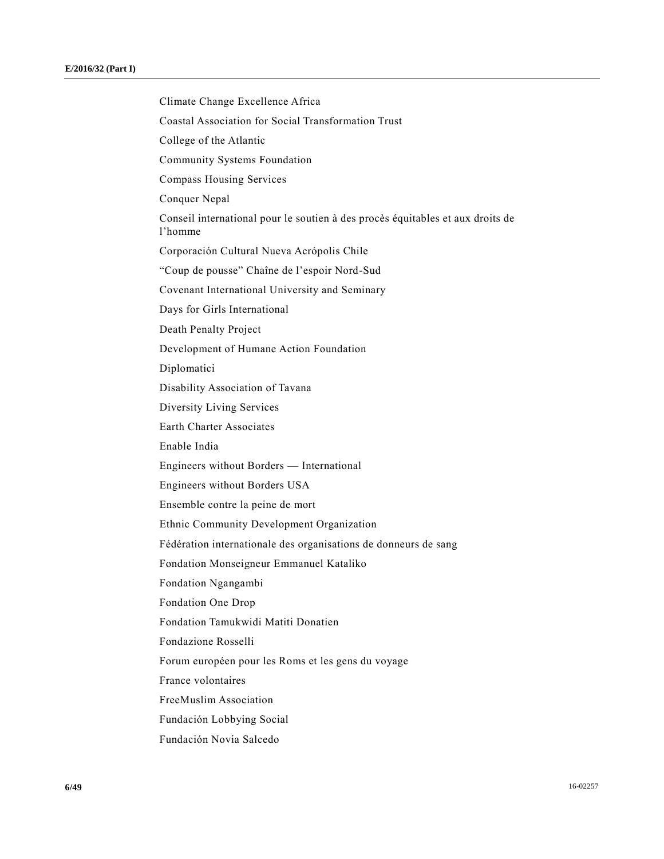Climate Change Excellence Africa Coastal Association for Social Transformation Trust College of the Atlantic Community Systems Foundation Compass Housing Services Conquer Nepal Conseil international pour le soutien à des procès équitables et aux droits de l'homme Corporación Cultural Nueva Acrópolis Chile "Coup de pousse" Chaîne de l'espoir Nord-Sud Covenant International University and Seminary Days for Girls International Death Penalty Project Development of Humane Action Foundation Diplomatici Disability Association of Tavana Diversity Living Services Earth Charter Associates Enable India Engineers without Borders — International Engineers without Borders USA Ensemble contre la peine de mort Ethnic Community Development Organization Fédération internationale des organisations de donneurs de sang Fondation Monseigneur Emmanuel Kataliko Fondation Ngangambi Fondation One Drop Fondation Tamukwidi Matiti Donatien Fondazione Rosselli Forum européen pour les Roms et les gens du voyage France volontaires FreeMuslim Association Fundación Lobbying Social Fundación Novia Salcedo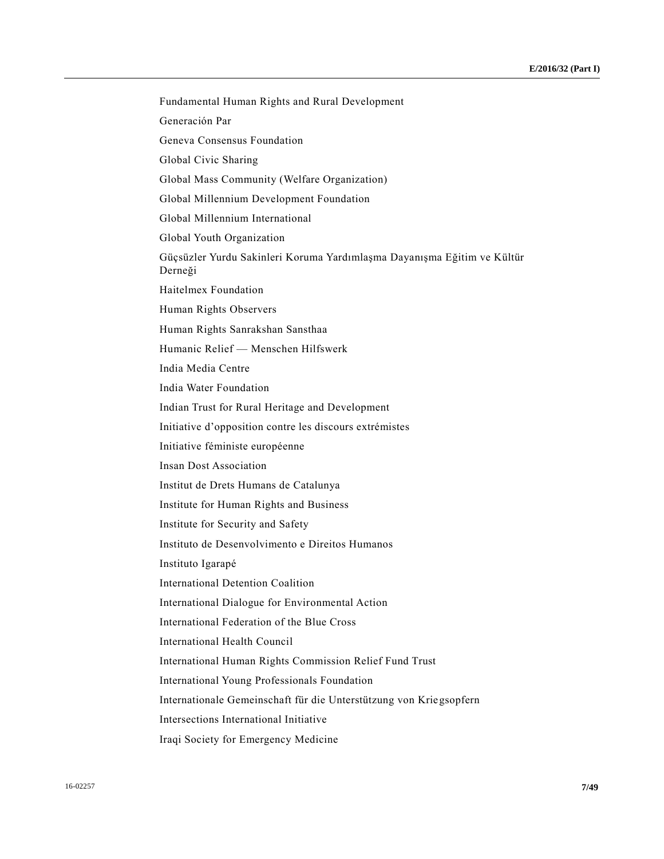Fundamental Human Rights and Rural Development Generación Par Geneva Consensus Foundation Global Civic Sharing Global Mass Community (Welfare Organization) Global Millennium Development Foundation Global Millennium International Global Youth Organization Güçsüzler Yurdu Sakinleri Koruma Yardımlaşma Dayanışma Eğitim ve Kültür Derneği Haitelmex Foundation Human Rights Observers Human Rights Sanrakshan Sansthaa Humanic Relief — Menschen Hilfswerk India Media Centre India Water Foundation Indian Trust for Rural Heritage and Development Initiative d'opposition contre les discours extrémistes Initiative féministe européenne Insan Dost Association Institut de Drets Humans de Catalunya Institute for Human Rights and Business Institute for Security and Safety Instituto de Desenvolvimento e Direitos Humanos Instituto Igarapé International Detention Coalition International Dialogue for Environmental Action International Federation of the Blue Cross International Health Council International Human Rights Commission Relief Fund Trust International Young Professionals Foundation Internationale Gemeinschaft für die Unterstützung von Kriegsopfern Intersections International Initiative Iraqi Society for Emergency Medicine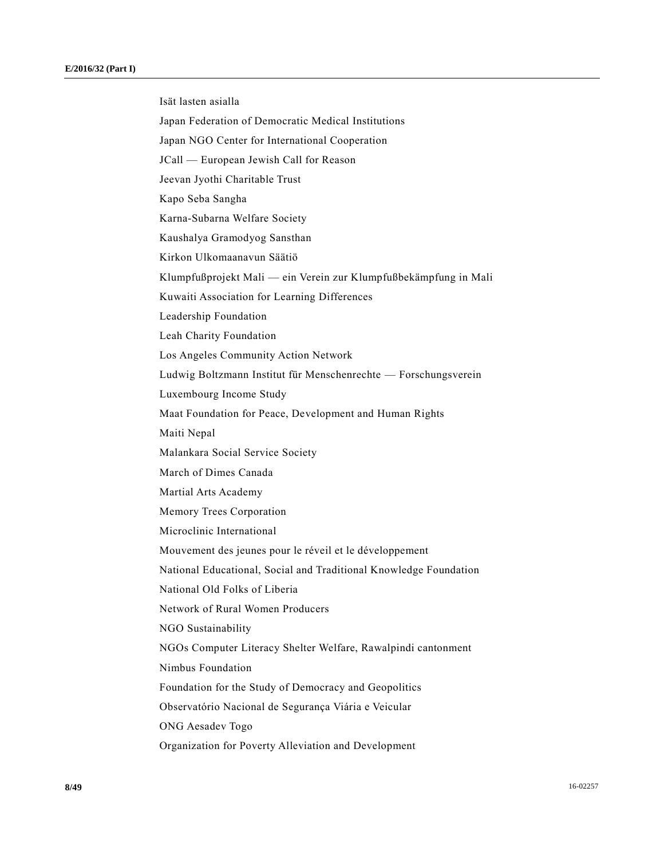Isät lasten asialla Japan Federation of Democratic Medical Institutions Japan NGO Center for International Cooperation JCall — European Jewish Call for Reason Jeevan Jyothi Charitable Trust Kapo Seba Sangha Karna-Subarna Welfare Society Kaushalya Gramodyog Sansthan Kirkon Ulkomaanavun Säätiö Klumpfußprojekt Mali — ein Verein zur Klumpfußbekämpfung in Mali Kuwaiti Association for Learning Differences Leadership Foundation Leah Charity Foundation Los Angeles Community Action Network Ludwig Boltzmann Institut für Menschenrechte — Forschungsverein Luxembourg Income Study Maat Foundation for Peace, Development and Human Rights Maiti Nepal Malankara Social Service Society March of Dimes Canada Martial Arts Academy Memory Trees Corporation Microclinic International Mouvement des jeunes pour le réveil et le développement National Educational, Social and Traditional Knowledge Foundation National Old Folks of Liberia Network of Rural Women Producers NGO Sustainability NGOs Computer Literacy Shelter Welfare, Rawalpindi cantonment Nimbus Foundation Foundation for the Study of Democracy and Geopolitics Observatório Nacional de Segurança Viária e Veicular ONG Aesadev Togo Organization for Poverty Alleviation and Development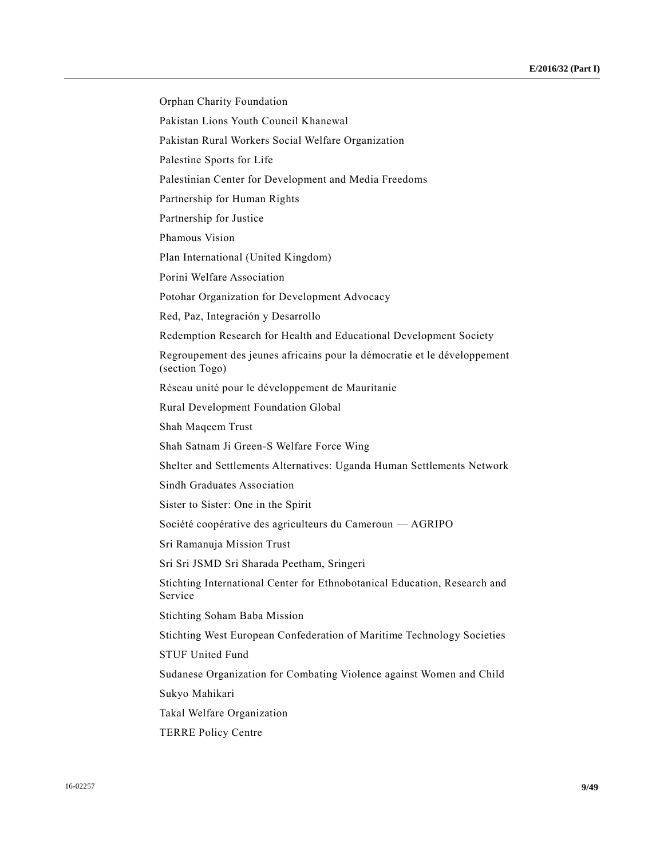Orphan Charity Foundation Pakistan Lions Youth Council Khanewal Pakistan Rural Workers Social Welfare Organization Palestine Sports for Life Palestinian Center for Development and Media Freedoms Partnership for Human Rights Partnership for Justice Phamous Vision Plan International (United Kingdom) Porini Welfare Association Potohar Organization for Development Advocacy Red, Paz, Integración y Desarrollo Redemption Research for Health and Educational Development Society Regroupement des jeunes africains pour la démocratie et le développement (section Togo) Réseau unité pour le développement de Mauritanie Rural Development Foundation Global Shah Maqeem Trust Shah Satnam Ji Green-S Welfare Force Wing Shelter and Settlements Alternatives: Uganda Human Settlements Network Sindh Graduates Association Sister to Sister: One in the Spirit Société coopérative des agriculteurs du Cameroun — AGRIPO Sri Ramanuja Mission Trust Sri Sri JSMD Sri Sharada Peetham, Sringeri Stichting International Center for Ethnobotanical Education, Research and Service Stichting Soham Baba Mission Stichting West European Confederation of Maritime Technology Societies STUF United Fund Sudanese Organization for Combating Violence against Women and Child Sukyo Mahikari Takal Welfare Organization TERRE Policy Centre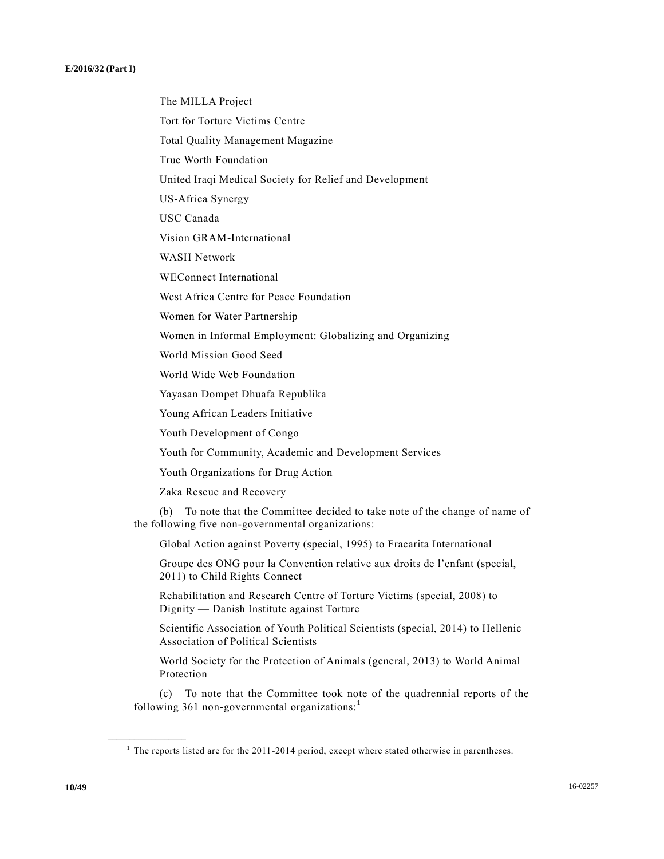The MILLA Project Tort for Torture Victims Centre Total Quality Management Magazine True Worth Foundation United Iraqi Medical Society for Relief and Development US-Africa Synergy USC Canada Vision GRAM-International WASH Network WEConnect International West Africa Centre for Peace Foundation Women for Water Partnership Women in Informal Employment: Globalizing and Organizing World Mission Good Seed World Wide Web Foundation Yayasan Dompet Dhuafa Republika Young African Leaders Initiative Youth Development of Congo Youth for Community, Academic and Development Services Youth Organizations for Drug Action Zaka Rescue and Recovery (b) To note that the Committee decided to take note of the change of name of the following five non-governmental organizations: Global Action against Poverty (special, 1995) to Fracarita International Groupe des ONG pour la Convention relative aux droits de l'enfant (special, 2011) to Child Rights Connect Rehabilitation and Research Centre of Torture Victims (special, 2008) to Dignity — Danish Institute against Torture Scientific Association of Youth Political Scientists (special, 2014) to Hellenic Association of Political Scientists

World Society for the Protection of Animals (general, 2013) to World Animal Protection

(c) To note that the Committee took note of the quadrennial reports of the following 361 non-governmental organizations:<sup>1</sup>

**\_\_\_\_\_\_\_\_\_\_\_\_\_\_\_\_\_\_**

 $<sup>1</sup>$  The reports listed are for the 2011-2014 period, except where stated otherwise in parentheses.</sup>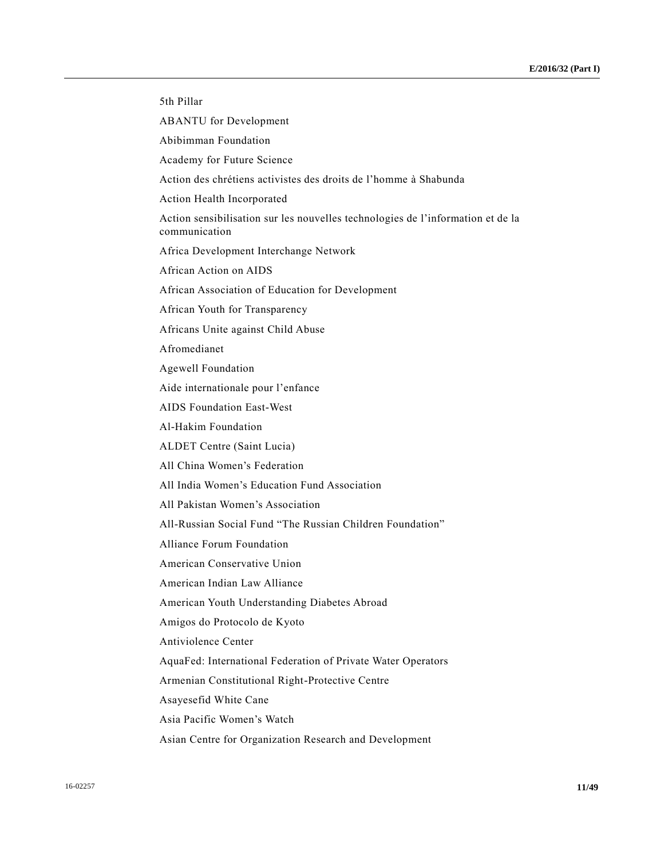| 5th Pillar                                                                                       |
|--------------------------------------------------------------------------------------------------|
| <b>ABANTU</b> for Development                                                                    |
| Abibimman Foundation                                                                             |
| Academy for Future Science                                                                       |
| Action des chrétiens activistes des droits de l'homme à Shabunda                                 |
| Action Health Incorporated                                                                       |
| Action sensibilisation sur les nouvelles technologies de l'information et de la<br>communication |
| Africa Development Interchange Network                                                           |
| African Action on AIDS                                                                           |
| African Association of Education for Development                                                 |
| African Youth for Transparency                                                                   |
| Africans Unite against Child Abuse                                                               |
| Afromedianet                                                                                     |
| <b>Agewell Foundation</b>                                                                        |
| Aide internationale pour l'enfance                                                               |
| <b>AIDS</b> Foundation East-West                                                                 |
| Al-Hakim Foundation                                                                              |
| ALDET Centre (Saint Lucia)                                                                       |
| All China Women's Federation                                                                     |
| All India Women's Education Fund Association                                                     |
| All Pakistan Women's Association                                                                 |
| All-Russian Social Fund "The Russian Children Foundation"                                        |
| Alliance Forum Foundation                                                                        |
| American Conservative Union                                                                      |
| American Indian Law Alliance                                                                     |
| American Youth Understanding Diabetes Abroad                                                     |
| Amigos do Protocolo de Kyoto                                                                     |
| Antiviolence Center                                                                              |
| AquaFed: International Federation of Private Water Operators                                     |
| Armenian Constitutional Right-Protective Centre                                                  |
| Asayesefid White Cane                                                                            |
| Asia Pacific Women's Watch                                                                       |
| Asian Centre for Organization Research and Development                                           |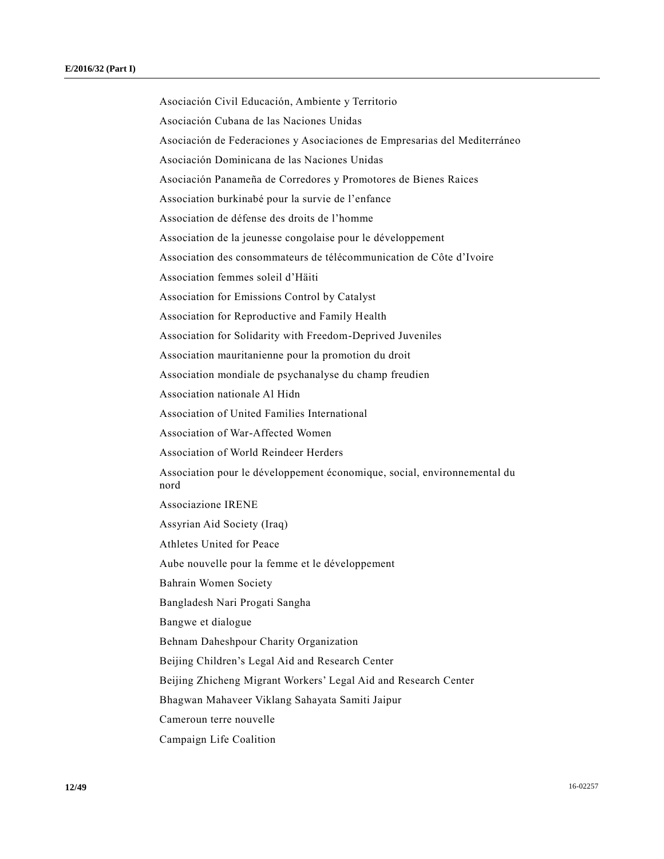Asociación Civil Educación, Ambiente y Territorio Asociación Cubana de las Naciones Unidas Asociación de Federaciones y Asociaciones de Empresarias del Mediterráneo Asociación Dominicana de las Naciones Unidas Asociación Panameña de Corredores y Promotores de Bienes Raices Association burkinabé pour la survie de l'enfance Association de défense des droits de l'homme Association de la jeunesse congolaise pour le développement Association des consommateurs de télécommunication de Côte d'Ivoire Association femmes soleil d'Häiti Association for Emissions Control by Catalyst Association for Reproductive and Family Health Association for Solidarity with Freedom-Deprived Juveniles Association mauritanienne pour la promotion du droit Association mondiale de psychanalyse du champ freudien Association nationale Al Hidn Association of United Families International Association of War-Affected Women Association of World Reindeer Herders Association pour le développement économique, social, environnemental du nord Associazione IRENE Assyrian Aid Society (Iraq) Athletes United for Peace Aube nouvelle pour la femme et le développement Bahrain Women Society Bangladesh Nari Progati Sangha Bangwe et dialogue Behnam Daheshpour Charity Organization Beijing Children's Legal Aid and Research Center Beijing Zhicheng Migrant Workers' Legal Aid and Research Center Bhagwan Mahaveer Viklang Sahayata Samiti Jaipur Cameroun terre nouvelle Campaign Life Coalition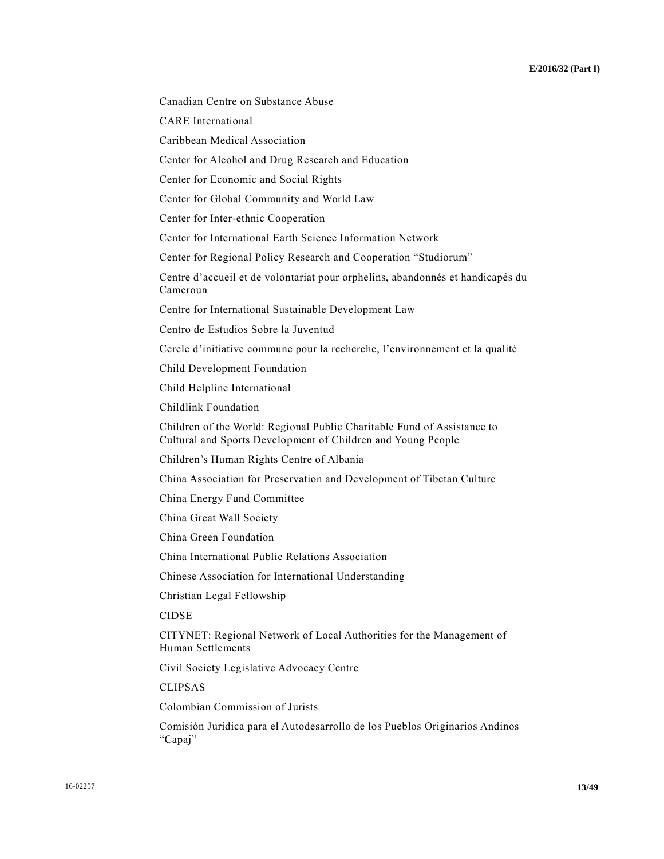Canadian Centre on Substance Abuse

CARE International

Caribbean Medical Association

Center for Alcohol and Drug Research and Education

Center for Economic and Social Rights

Center for Global Community and World Law

Center for Inter-ethnic Cooperation

Center for International Earth Science Information Network

Center for Regional Policy Research and Cooperation "Studiorum"

Centre d'accueil et de volontariat pour orphelins, abandonnés et handicapés du Cameroun

Centre for International Sustainable Development Law

Centro de Estudios Sobre la Juventud

Cercle d'initiative commune pour la recherche, l'environnement et la qualité

Child Development Foundation

Child Helpline International

Childlink Foundation

Children of the World: Regional Public Charitable Fund of Assistance to Cultural and Sports Development of Children and Young People

Children's Human Rights Centre of Albania

China Association for Preservation and Development of Tibetan Culture

China Energy Fund Committee

China Great Wall Society

China Green Foundation

China International Public Relations Association

Chinese Association for International Understanding

Christian Legal Fellowship

CIDSE

CITYNET: Regional Network of Local Authorities for the Management of Human Settlements

Civil Society Legislative Advocacy Centre

CLIPSAS

Colombian Commission of Jurists

Comisión Jurídica para el Autodesarrollo de los Pueblos Originarios Andinos "Capaj"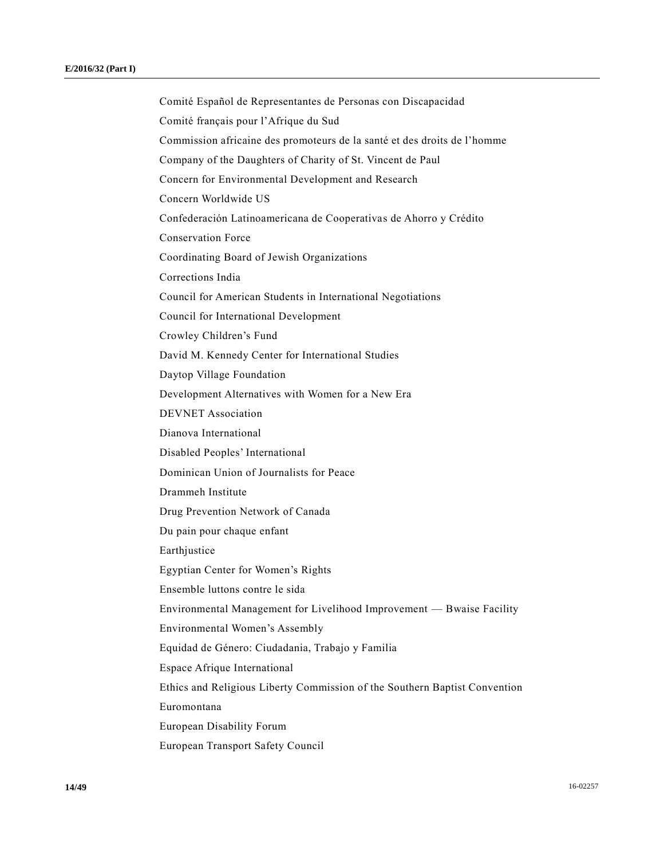Comité Español de Representantes de Personas con Discapacidad Comité français pour l'Afrique du Sud Commission africaine des promoteurs de la santé et des droits de l'homme Company of the Daughters of Charity of St. Vincent de Paul Concern for Environmental Development and Research Concern Worldwide US Confederación Latinoamericana de Cooperativas de Ahorro y Crédito Conservation Force Coordinating Board of Jewish Organizations Corrections India Council for American Students in International Negotiations Council for International Development Crowley Children's Fund David M. Kennedy Center for International Studies Daytop Village Foundation Development Alternatives with Women for a New Era DEVNET Association Dianova International Disabled Peoples' International Dominican Union of Journalists for Peace Drammeh Institute Drug Prevention Network of Canada Du pain pour chaque enfant Earthjustice Egyptian Center for Women's Rights Ensemble luttons contre le sida Environmental Management for Livelihood Improvement — Bwaise Facility Environmental Women's Assembly Equidad de Género: Ciudadania, Trabajo y Familia Espace Afrique International Ethics and Religious Liberty Commission of the Southern Baptist Convention Euromontana European Disability Forum European Transport Safety Council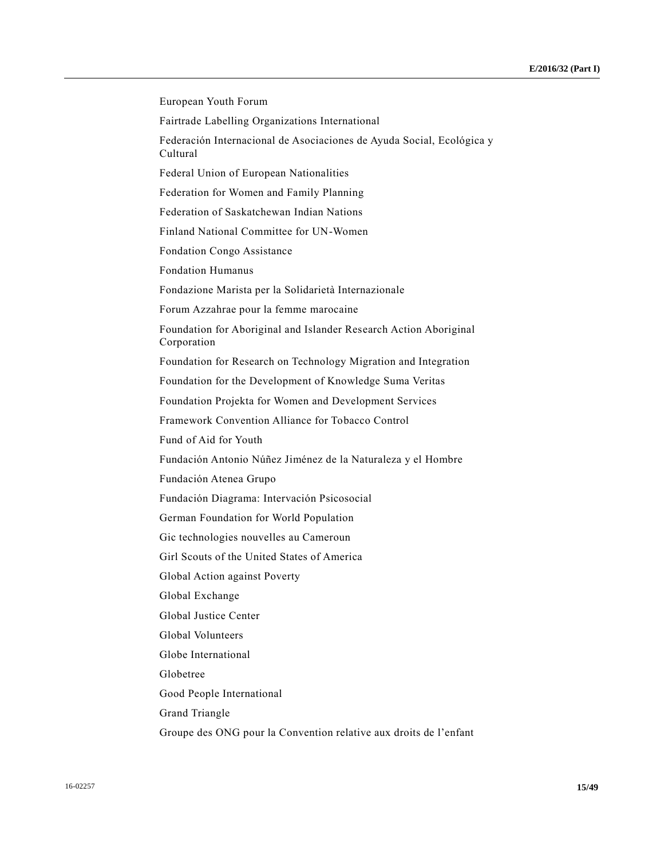| European Youth Forum                                                              |
|-----------------------------------------------------------------------------------|
| Fairtrade Labelling Organizations International                                   |
| Federación Internacional de Asociaciones de Ayuda Social, Ecológica y<br>Cultural |
| Federal Union of European Nationalities                                           |
| Federation for Women and Family Planning                                          |
| Federation of Saskatchewan Indian Nations                                         |
| Finland National Committee for UN-Women                                           |
| <b>Fondation Congo Assistance</b>                                                 |
| <b>Fondation Humanus</b>                                                          |
| Fondazione Marista per la Solidarietà Internazionale                              |
| Forum Azzahrae pour la femme marocaine                                            |
| Foundation for Aboriginal and Islander Research Action Aboriginal<br>Corporation  |
| Foundation for Research on Technology Migration and Integration                   |
| Foundation for the Development of Knowledge Suma Veritas                          |
| Foundation Projekta for Women and Development Services                            |
| Framework Convention Alliance for Tobacco Control                                 |
| Fund of Aid for Youth                                                             |
| Fundación Antonio Núñez Jiménez de la Naturaleza y el Hombre                      |
| Fundación Atenea Grupo                                                            |
| Fundación Diagrama: Intervación Psicosocial                                       |
| German Foundation for World Population                                            |
| Gic technologies nouvelles au Cameroun                                            |
| Girl Scouts of the United States of America                                       |
| Global Action against Poverty                                                     |
| Global Exchange                                                                   |
| Global Justice Center                                                             |
| Global Volunteers                                                                 |
| Globe International                                                               |
| Globetree                                                                         |
| Good People International                                                         |
| <b>Grand Triangle</b>                                                             |
| Groupe des ONG pour la Convention relative aux droits de l'enfant                 |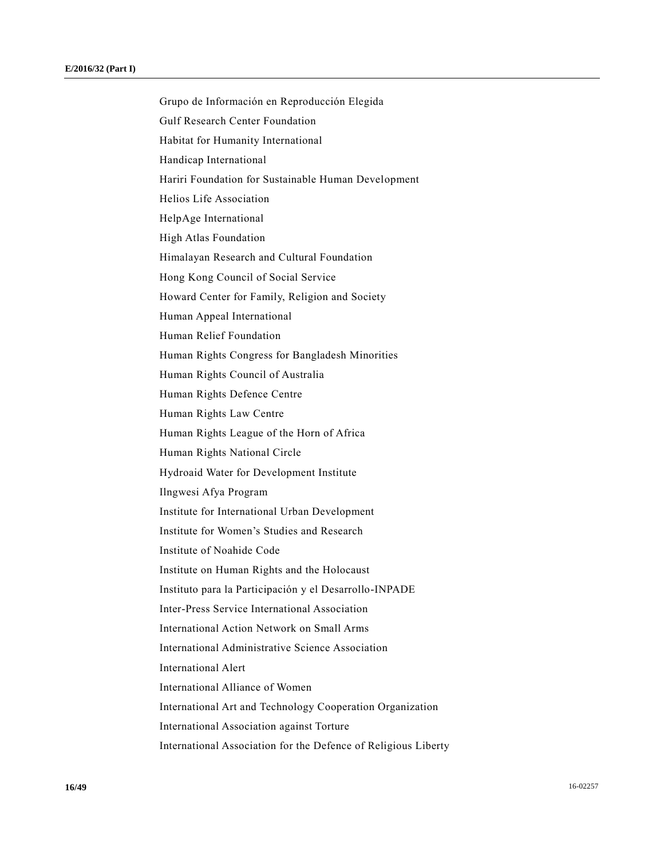Grupo de Información en Reproducción Elegida Gulf Research Center Foundation Habitat for Humanity International Handicap International Hariri Foundation for Sustainable Human Development Helios Life Association HelpAge International High Atlas Foundation Himalayan Research and Cultural Foundation Hong Kong Council of Social Service Howard Center for Family, Religion and Society Human Appeal International Human Relief Foundation Human Rights Congress for Bangladesh Minorities Human Rights Council of Australia Human Rights Defence Centre Human Rights Law Centre Human Rights League of the Horn of Africa Human Rights National Circle Hydroaid Water for Development Institute Ilngwesi Afya Program Institute for International Urban Development Institute for Women's Studies and Research Institute of Noahide Code Institute on Human Rights and the Holocaust Instituto para la Participación y el Desarrollo-INPADE Inter-Press Service International Association International Action Network on Small Arms International Administrative Science Association International Alert International Alliance of Women International Art and Technology Cooperation Organization International Association against Torture International Association for the Defence of Religious Liberty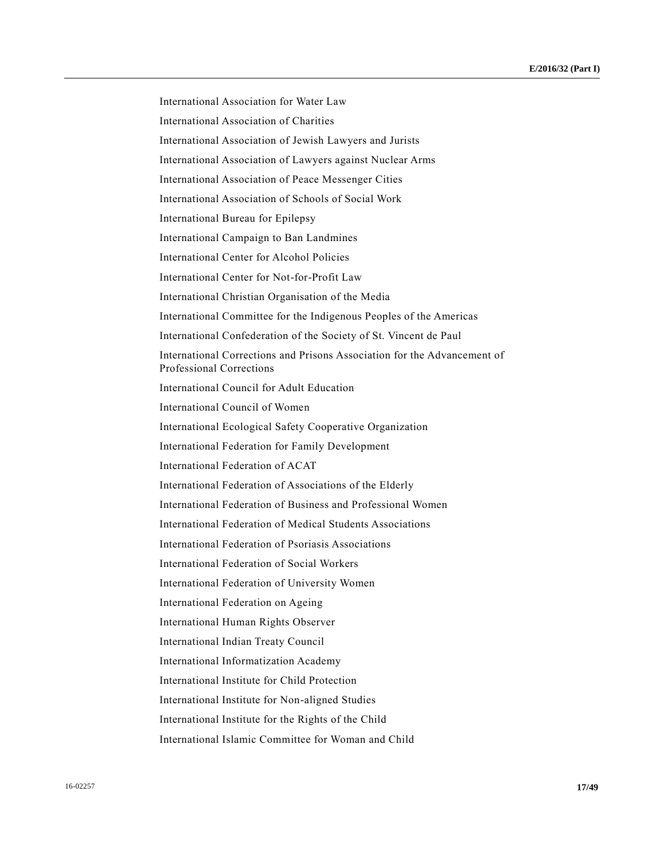International Association for Water Law International Association of Charities International Association of Jewish Lawyers and Jurists International Association of Lawyers against Nuclear Arms International Association of Peace Messenger Cities International Association of Schools of Social Work International Bureau for Epilepsy International Campaign to Ban Landmines International Center for Alcohol Policies International Center for Not-for-Profit Law International Christian Organisation of the Media International Committee for the Indigenous Peoples of the Americas International Confederation of the Society of St. Vincent de Paul International Corrections and Prisons Association for the Advancement of Professional Corrections International Council for Adult Education International Council of Women International Ecological Safety Cooperative Organization International Federation for Family Development International Federation of ACAT International Federation of Associations of the Elderly International Federation of Business and Professional Women International Federation of Medical Students Associations International Federation of Psoriasis Associations International Federation of Social Workers International Federation of University Women International Federation on Ageing International Human Rights Observer International Indian Treaty Council International Informatization Academy International Institute for Child Protection International Institute for Non-aligned Studies International Institute for the Rights of the Child International Islamic Committee for Woman and Child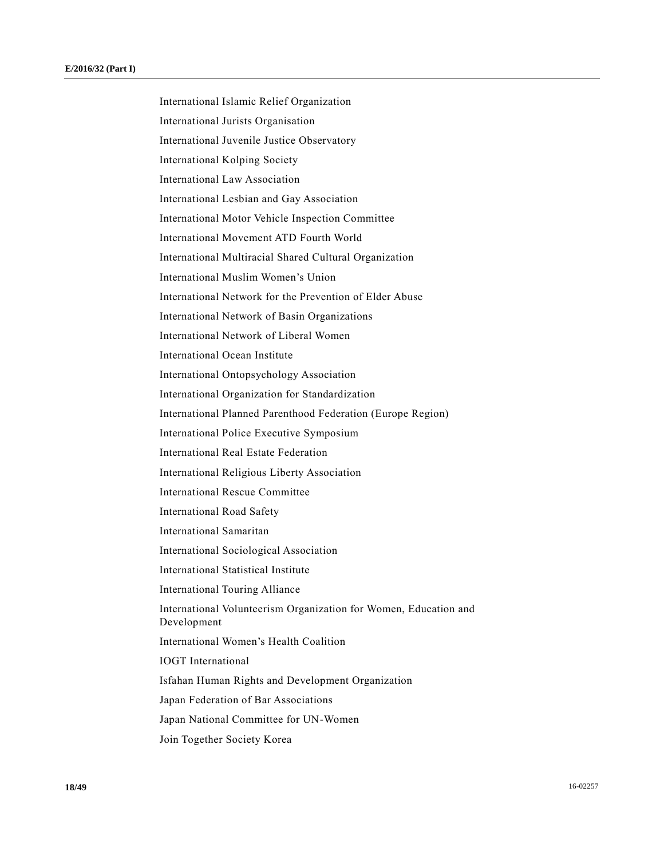International Islamic Relief Organization International Jurists Organisation International Juvenile Justice Observatory International Kolping Society International Law Association International Lesbian and Gay Association International Motor Vehicle Inspection Committee International Movement ATD Fourth World International Multiracial Shared Cultural Organization International Muslim Women's Union International Network for the Prevention of Elder Abuse International Network of Basin Organizations International Network of Liberal Women International Ocean Institute International Ontopsychology Association International Organization for Standardization International Planned Parenthood Federation (Europe Region) International Police Executive Symposium International Real Estate Federation International Religious Liberty Association International Rescue Committee International Road Safety International Samaritan International Sociological Association International Statistical Institute International Touring Alliance International Volunteerism Organization for Women, Education and Development International Women's Health Coalition IOGT International Isfahan Human Rights and Development Organization Japan Federation of Bar Associations Japan National Committee for UN-Women Join Together Society Korea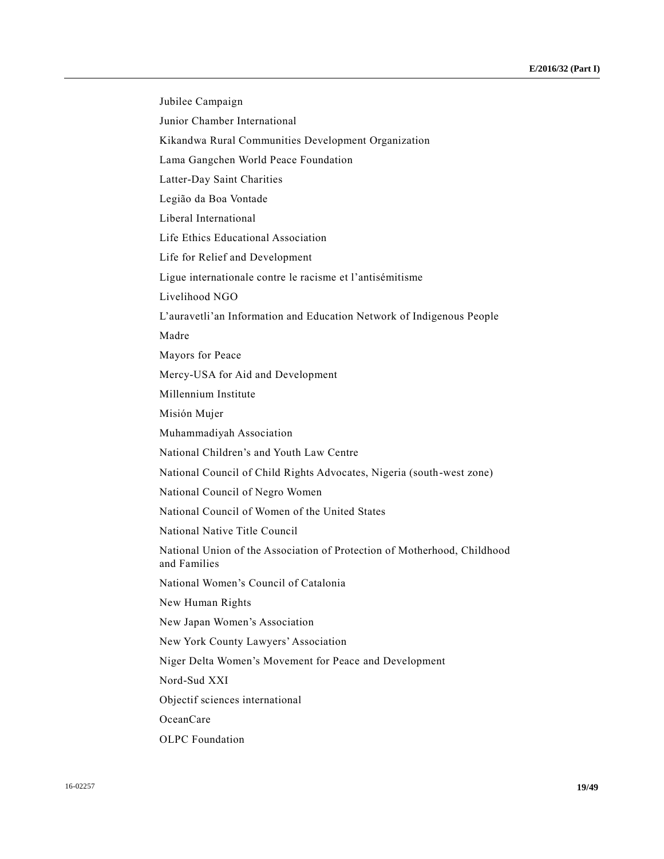Jubilee Campaign Junior Chamber International Kikandwa Rural Communities Development Organization Lama Gangchen World Peace Foundation Latter-Day Saint Charities Legião da Boa Vontade Liberal International Life Ethics Educational Association Life for Relief and Development Ligue internationale contre le racisme et l'antisémitisme Livelihood NGO L'auravetli'an Information and Education Network of Indigenous People Madre Mayors for Peace Mercy-USA for Aid and Development Millennium Institute Misión Mujer Muhammadiyah Association National Children's and Youth Law Centre National Council of Child Rights Advocates, Nigeria (south-west zone) National Council of Negro Women National Council of Women of the United States National Native Title Council National Union of the Association of Protection of Motherhood, Childhood and Families National Women's Council of Catalonia New Human Rights New Japan Women's Association New York County Lawyers' Association Niger Delta Women's Movement for Peace and Development Nord-Sud XXI Objectif sciences international OceanCare OLPC Foundation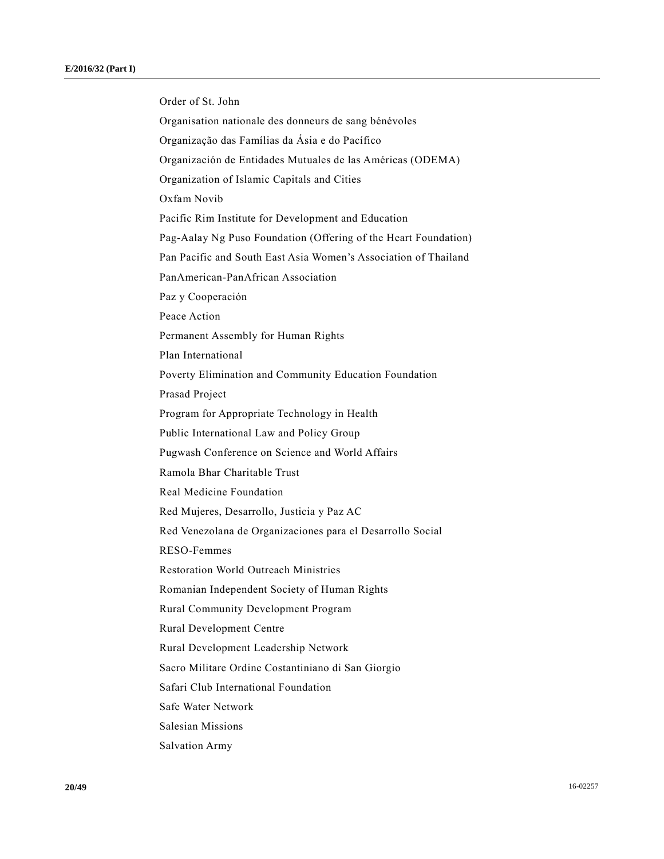Order of St. John Organisation nationale des donneurs de sang bénévoles Organização das Famílias da Ásia e do Pacífico Organización de Entidades Mutuales de las Américas (ODEMA) Organization of Islamic Capitals and Cities Oxfam Novib Pacific Rim Institute for Development and Education Pag-Aalay Ng Puso Foundation (Offering of the Heart Foundation) Pan Pacific and South East Asia Women's Association of Thailand PanAmerican-PanAfrican Association Paz y Cooperación Peace Action Permanent Assembly for Human Rights Plan International Poverty Elimination and Community Education Foundation Prasad Project Program for Appropriate Technology in Health Public International Law and Policy Group Pugwash Conference on Science and World Affairs Ramola Bhar Charitable Trust Real Medicine Foundation Red Mujeres, Desarrollo, Justicia y Paz AC Red Venezolana de Organizaciones para el Desarrollo Social RESO-Femmes Restoration World Outreach Ministries Romanian Independent Society of Human Rights Rural Community Development Program Rural Development Centre Rural Development Leadership Network Sacro Militare Ordine Costantiniano di San Giorgio Safari Club International Foundation Safe Water Network Salesian Missions Salvation Army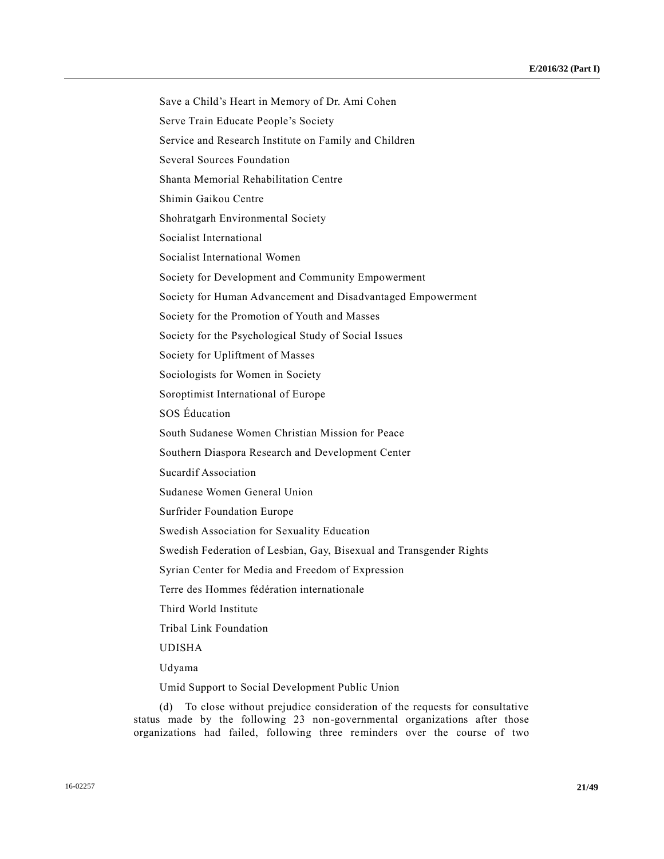Save a Child's Heart in Memory of Dr. Ami Cohen Serve Train Educate People's Society Service and Research Institute on Family and Children Several Sources Foundation Shanta Memorial Rehabilitation Centre Shimin Gaikou Centre Shohratgarh Environmental Society Socialist International Socialist International Women Society for Development and Community Empowerment Society for Human Advancement and Disadvantaged Empowerment Society for the Promotion of Youth and Masses Society for the Psychological Study of Social Issues Society for Upliftment of Masses Sociologists for Women in Society Soroptimist International of Europe SOS Éducation South Sudanese Women Christian Mission for Peace Southern Diaspora Research and Development Center Sucardif Association Sudanese Women General Union Surfrider Foundation Europe Swedish Association for Sexuality Education Swedish Federation of Lesbian, Gay, Bisexual and Transgender Rights Syrian Center for Media and Freedom of Expression Terre des Hommes fédération internationale Third World Institute Tribal Link Foundation UDISHA Udyama Umid Support to Social Development Public Union

(d) To close without prejudice consideration of the requests for consultative status made by the following 23 non-governmental organizations after those organizations had failed, following three reminders over the course of two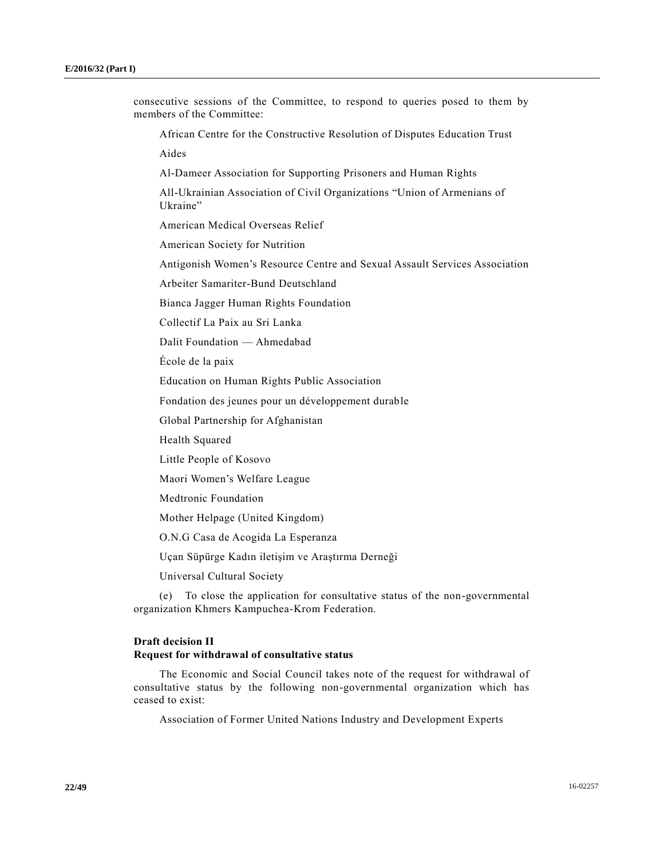consecutive sessions of the Committee, to respond to queries posed to them by members of the Committee: African Centre for the Constructive Resolution of Disputes Education Trust Aides Al-Dameer Association for Supporting Prisoners and Human Rights All-Ukrainian Association of Civil Organizations "Union of Armenians of Ukraine" American Medical Overseas Relief American Society for Nutrition Antigonish Women's Resource Centre and Sexual Assault Services Association Arbeiter Samariter-Bund Deutschland Bianca Jagger Human Rights Foundation Collectif La Paix au Sri Lanka Dalit Foundation — Ahmedabad École de la paix Education on Human Rights Public Association Fondation des jeunes pour un développement durable Global Partnership for Afghanistan Health Squared Little People of Kosovo Maori Women's Welfare League

Medtronic Foundation

Mother Helpage (United Kingdom)

O.N.G Casa de Acogida La Esperanza

Uçan Süpürge Kadın iletişim ve Araştırma Derneği

Universal Cultural Society

(e) To close the application for consultative status of the non-governmental organization Khmers Kampuchea-Krom Federation.

### **Draft decision II Request for withdrawal of consultative status**

The Economic and Social Council takes note of the request for withdrawal of consultative status by the following non-governmental organization which has ceased to exist:

Association of Former United Nations Industry and Development Experts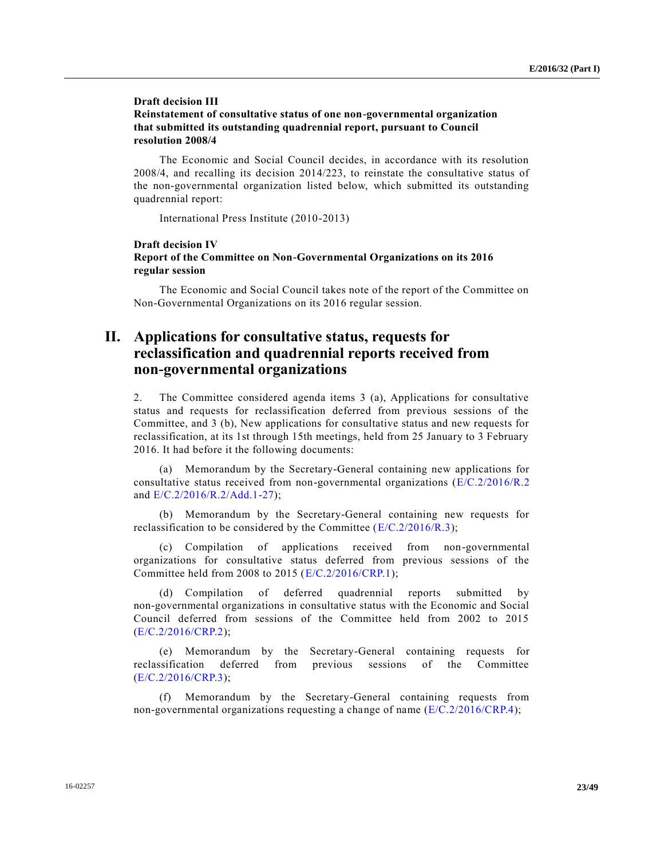### **Draft decision III Reinstatement of consultative status of one non-governmental organization that submitted its outstanding quadrennial report, pursuant to Council resolution 2008/4**

The Economic and Social Council decides, in accordance with its resolution 2008/4, and recalling its decision 2014/223, to reinstate the consultative status of the non-governmental organization listed below, which submitted its outstanding quadrennial report:

International Press Institute (2010-2013)

### **Draft decision IV Report of the Committee on Non-Governmental Organizations on its 2016 regular session**

The Economic and Social Council takes note of the report of the Committee on Non-Governmental Organizations on its 2016 regular session.

# **II. Applications for consultative status, requests for reclassification and quadrennial reports received from non-governmental organizations**

2. The Committee considered agenda items 3 (a), Applications for consultative status and requests for reclassification deferred from previous sessions of the Committee, and 3 (b), New applications for consultative status and new requests for reclassification, at its 1st through 15th meetings, held from 25 January to 3 February 2016. It had before it the following documents:

(a) Memorandum by the Secretary-General containing new applications for consultative status received from non-governmental organizations [\(E/C.2/2016/R.2](http://undocs.org/E/C.2/2016/R.2) and [E/C.2/2016/R.2/Add.1-27\)](http://undocs.org/E/C.2/2016/R.2/Add.1);

(b) Memorandum by the Secretary-General containing new requests for reclassification to be considered by the Committee ( $E/C.2/2016/R.3$ );

(c) Compilation of applications received from non-governmental organizations for consultative status deferred from previous sessions of the Committee held from 2008 to 2015 [\(E/C.2/2016/CRP.1\)](http://undocs.org/E/C.2/2016/CRP.1);

(d) Compilation of deferred quadrennial reports submitted by non-governmental organizations in consultative status with the Economic and Social Council deferred from sessions of the Committee held from 2002 to 2015 [\(E/C.2/2016/CRP.2\)](http://undocs.org/E/C.2/2016/CRP.2);

(e) Memorandum by the Secretary-General containing requests for reclassification deferred from previous sessions of the Committee [\(E/C.2/2016/CRP.3\)](http://undocs.org/E/C.2/2016/CRP.3);

(f) Memorandum by the Secretary-General containing requests from non-governmental organizations requesting a change of name [\(E/C.2/2016/CRP.4\)](http://undocs.org/E/C.2/2016/CRP.4);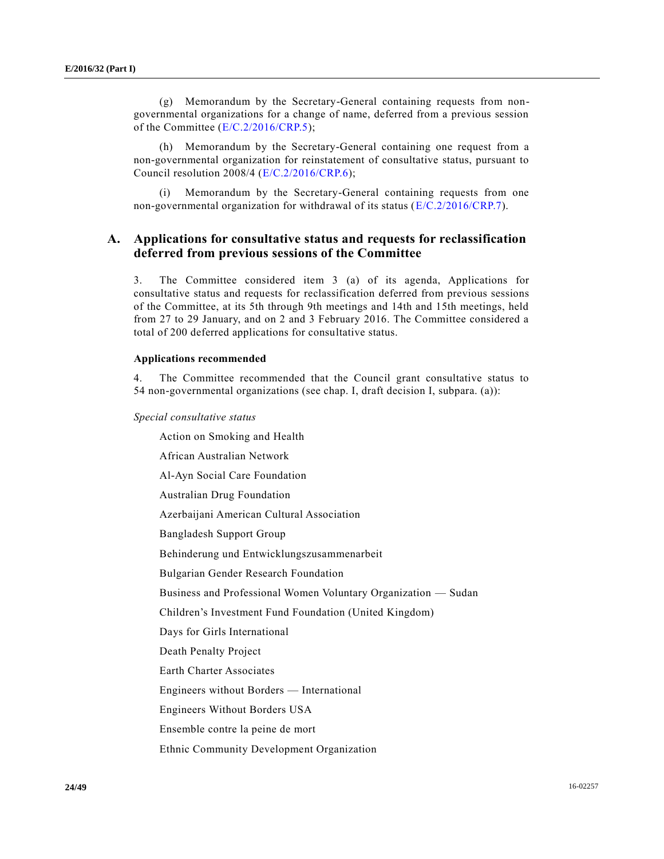(g) Memorandum by the Secretary-General containing requests from nongovernmental organizations for a change of name, deferred from a previous session of the Committee [\(E/C.2/2016/CRP.5\)](http://undocs.org/E/C.2/2016/CRP.5);

(h) Memorandum by the Secretary-General containing one request from a non-governmental organization for reinstatement of consultative status, pursuant to Council resolution 2008/4 [\(E/C.2/2016/CRP.6\)](http://undocs.org/E/C.2/2016/CRP.6);

(i) Memorandum by the Secretary-General containing requests from one non-governmental organization for withdrawal of its status [\(E/C.2/2016/CRP.7\)](http://undocs.org/E/C.2/2016/CRP.7).

## **A. Applications for consultative status and requests for reclassification deferred from previous sessions of the Committee**

3. The Committee considered item 3 (a) of its agenda, Applications for consultative status and requests for reclassification deferred from previous sessions of the Committee, at its 5th through 9th meetings and 14th and 15th meetings, held from 27 to 29 January, and on 2 and 3 February 2016. The Committee considered a total of 200 deferred applications for consultative status.

#### **Applications recommended**

4. The Committee recommended that the Council grant consultative status to 54 non-governmental organizations (see chap. I, draft decision I, subpara. (a)):

#### *Special consultative status*

Action on Smoking and Health

African Australian Network

Al-Ayn Social Care Foundation

Australian Drug Foundation

Azerbaijani American Cultural Association

Bangladesh Support Group

Behinderung und Entwicklungszusammenarbeit

Bulgarian Gender Research Foundation

Business and Professional Women Voluntary Organization — Sudan

Children's Investment Fund Foundation (United Kingdom)

Days for Girls International

Death Penalty Project

Earth Charter Associates

Engineers without Borders — International

Engineers Without Borders USA

Ensemble contre la peine de mort

Ethnic Community Development Organization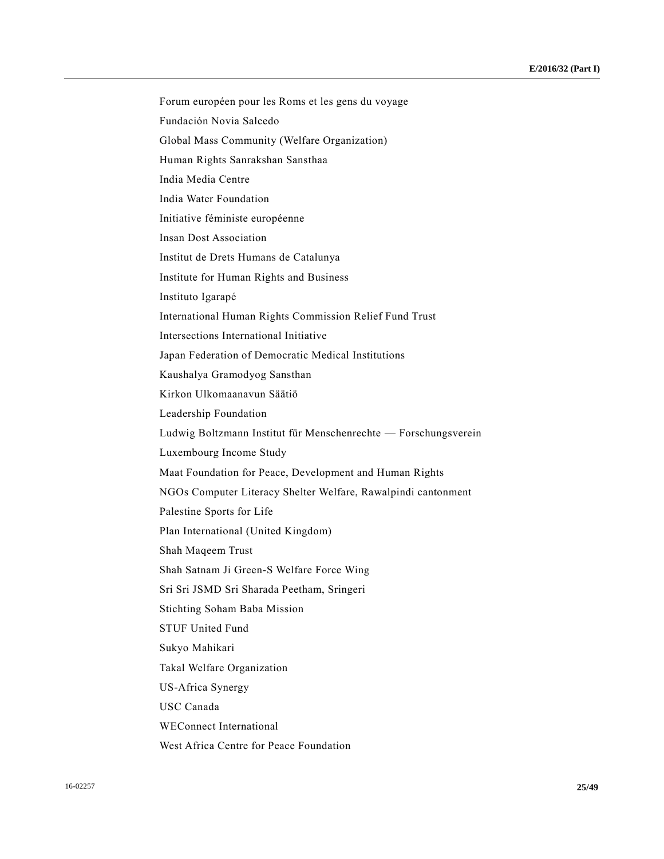Fundación Novia Salcedo Global Mass Community (Welfare Organization) Human Rights Sanrakshan Sansthaa India Media Centre India Water Foundation Initiative féministe européenne Insan Dost Association Institut de Drets Humans de Catalunya Institute for Human Rights and Business Instituto Igarapé International Human Rights Commission Relief Fund Trust Intersections International Initiative Japan Federation of Democratic Medical Institutions Kaushalya Gramodyog Sansthan Kirkon Ulkomaanavun Säätiö Leadership Foundation Ludwig Boltzmann Institut für Menschenrechte — Forschungsverein Luxembourg Income Study Maat Foundation for Peace, Development and Human Rights NGOs Computer Literacy Shelter Welfare, Rawalpindi cantonment Palestine Sports for Life Plan International (United Kingdom) Shah Maqeem Trust Shah Satnam Ji Green-S Welfare Force Wing Sri Sri JSMD Sri Sharada Peetham, Sringeri Stichting Soham Baba Mission STUF United Fund Sukyo Mahikari Takal Welfare Organization US-Africa Synergy USC Canada WEConnect International West Africa Centre for Peace Foundation

Forum européen pour les Roms et les gens du voyage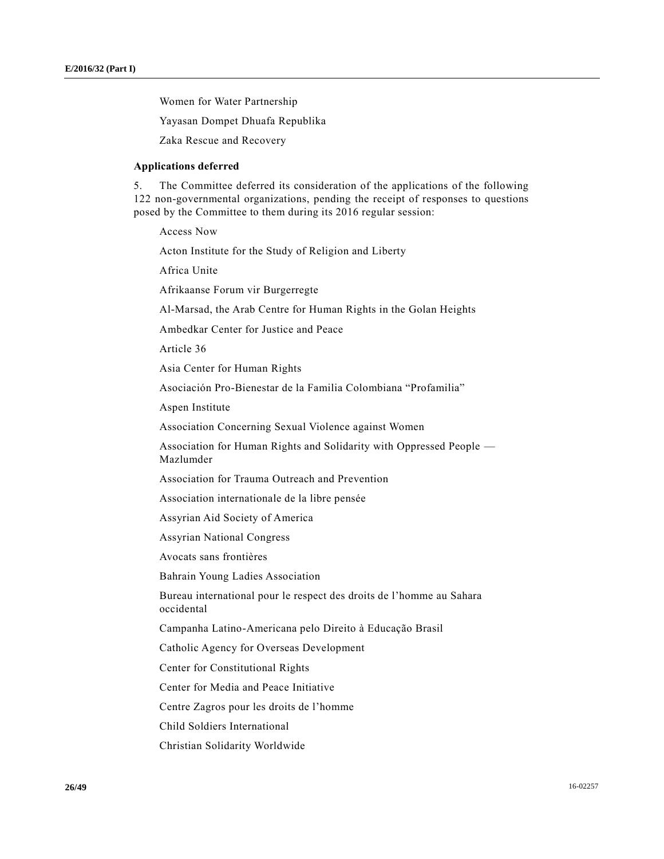Women for Water Partnership

Yayasan Dompet Dhuafa Republika

Zaka Rescue and Recovery

### **Applications deferred**

5. The Committee deferred its consideration of the applications of the following 122 non-governmental organizations, pending the receipt of responses to questions posed by the Committee to them during its 2016 regular session:

Access Now

Acton Institute for the Study of Religion and Liberty

Africa Unite

Afrikaanse Forum vir Burgerregte

Al-Marsad, the Arab Centre for Human Rights in the Golan Heights

Ambedkar Center for Justice and Peace

Article 36

Asia Center for Human Rights

Asociación Pro-Bienestar de la Familia Colombiana "Profamilia"

Aspen Institute

Association Concerning Sexual Violence against Women

Association for Human Rights and Solidarity with Oppressed People — Mazlumder

Association for Trauma Outreach and Prevention

Association internationale de la libre pensée

Assyrian Aid Society of America

Assyrian National Congress

Avocats sans frontières

Bahrain Young Ladies Association

Bureau international pour le respect des droits de l'homme au Sahara occidental

Campanha Latino-Americana pelo Direito à Educação Brasil

Catholic Agency for Overseas Development

Center for Constitutional Rights

Center for Media and Peace Initiative

Centre Zagros pour les droits de l'homme

Child Soldiers International

Christian Solidarity Worldwide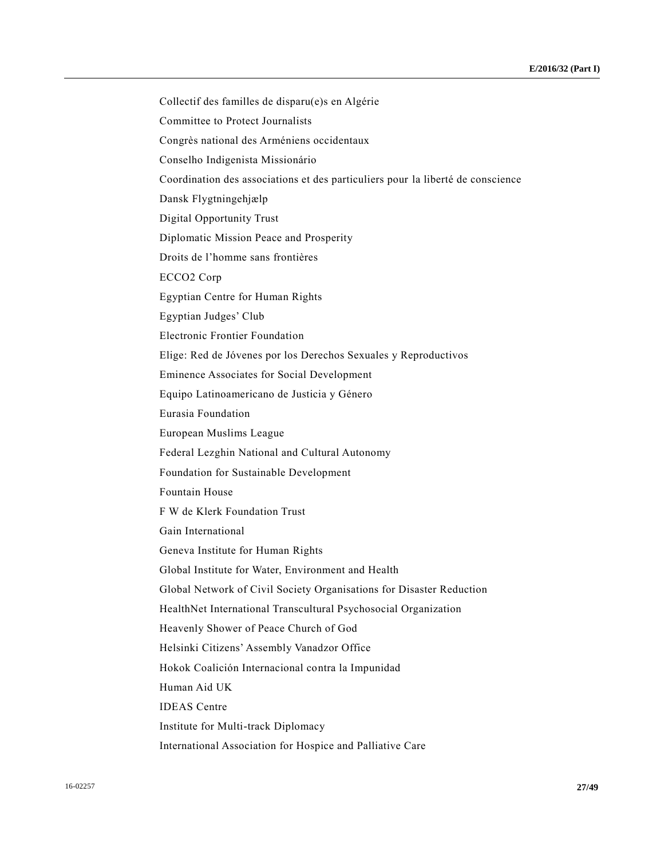Collectif des familles de disparu(e)s en Algérie Committee to Protect Journalists Congrès national des Arméniens occidentaux Conselho Indigenista Missionário Coordination des associations et des particuliers pour la liberté de conscience Dansk Flygtningehjælp Digital Opportunity Trust Diplomatic Mission Peace and Prosperity Droits de l'homme sans frontières ECCO2 Corp Egyptian Centre for Human Rights Egyptian Judges' Club Electronic Frontier Foundation Elige: Red de Jóvenes por los Derechos Sexuales y Reproductivos Eminence Associates for Social Development Equipo Latinoamericano de Justicia y Género Eurasia Foundation European Muslims League Federal Lezghin National and Cultural Autonomy Foundation for Sustainable Development Fountain House F W de Klerk Foundation Trust Gain International Geneva Institute for Human Rights Global Institute for Water, Environment and Health Global Network of Civil Society Organisations for Disaster Reduction HealthNet International Transcultural Psychosocial Organization Heavenly Shower of Peace Church of God Helsinki Citizens' Assembly Vanadzor Office Hokok Coalición Internacional contra la Impunidad Human Aid UK IDEAS Centre Institute for Multi-track Diplomacy International Association for Hospice and Palliative Care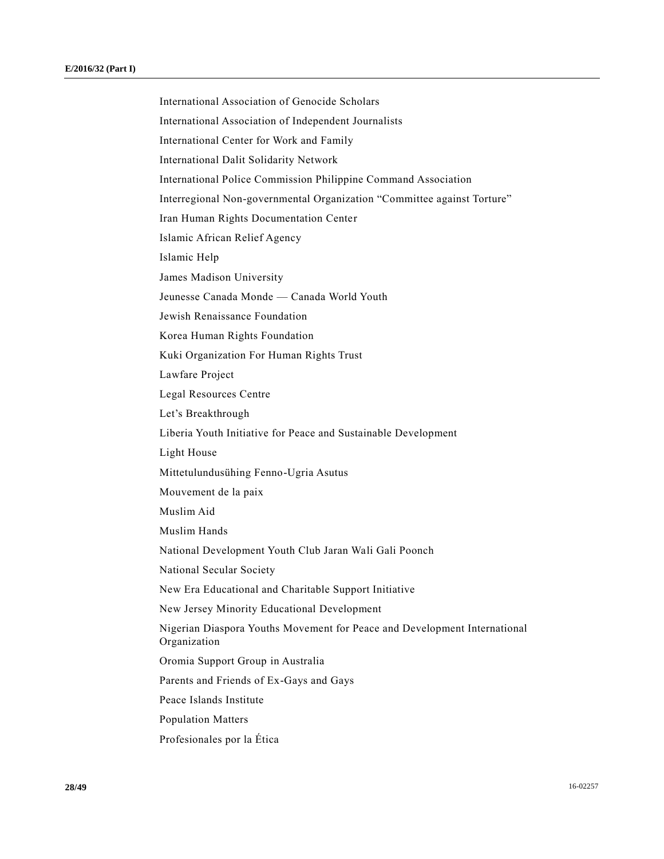International Association of Genocide Scholars International Association of Independent Journalists International Center for Work and Family International Dalit Solidarity Network International Police Commission Philippine Command Association Interregional Non-governmental Organization "Committee against Torture" Iran Human Rights Documentation Center Islamic African Relief Agency Islamic Help James Madison University Jeunesse Canada Monde — Canada World Youth Jewish Renaissance Foundation Korea Human Rights Foundation Kuki Organization For Human Rights Trust Lawfare Project Legal Resources Centre Let's Breakthrough Liberia Youth Initiative for Peace and Sustainable Development Light House Mittetulundusühing Fenno-Ugria Asutus Mouvement de la paix Muslim Aid Muslim Hands National Development Youth Club Jaran Wali Gali Poonch National Secular Society New Era Educational and Charitable Support Initiative New Jersey Minority Educational Development Nigerian Diaspora Youths Movement for Peace and Development International Organization Oromia Support Group in Australia Parents and Friends of Ex-Gays and Gays Peace Islands Institute Population Matters Profesionales por la Ética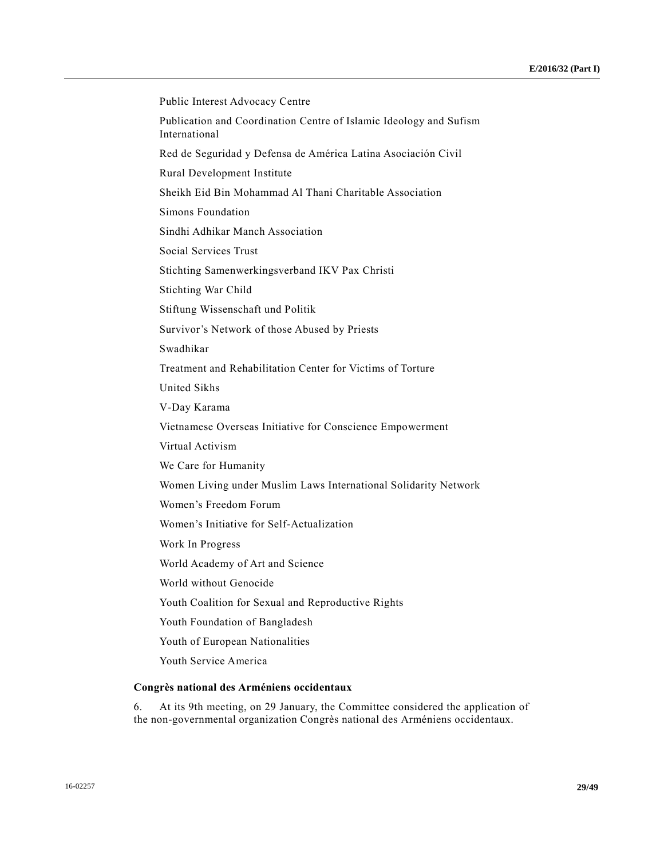| Public Interest Advocacy Centre                                                     |
|-------------------------------------------------------------------------------------|
| Publication and Coordination Centre of Islamic Ideology and Sufism<br>International |
| Red de Seguridad y Defensa de América Latina Asociación Civil                       |
| Rural Development Institute                                                         |
| Sheikh Eid Bin Mohammad Al Thani Charitable Association                             |
| Simons Foundation                                                                   |
| Sindhi Adhikar Manch Association                                                    |
| Social Services Trust                                                               |
| Stichting Samenwerkingsverband IKV Pax Christi                                      |
| Stichting War Child                                                                 |
| Stiftung Wissenschaft und Politik                                                   |
| Survivor's Network of those Abused by Priests                                       |
| Swadhikar                                                                           |
| Treatment and Rehabilitation Center for Victims of Torture                          |
| <b>United Sikhs</b>                                                                 |
| V-Day Karama                                                                        |
| Vietnamese Overseas Initiative for Conscience Empowerment                           |
| Virtual Activism                                                                    |
| We Care for Humanity                                                                |
| Women Living under Muslim Laws International Solidarity Network                     |
| Women's Freedom Forum                                                               |
| Women's Initiative for Self-Actualization                                           |
| Work In Progress                                                                    |
| World Academy of Art and Science                                                    |
| World without Genocide                                                              |
| Youth Coalition for Sexual and Reproductive Rights                                  |
| Youth Foundation of Bangladesh                                                      |
| Youth of European Nationalities                                                     |
| Youth Service America                                                               |
| Congrès national des Arméniens occidentaux                                          |

6. At its 9th meeting, on 29 January, the Committee considered the application of the non-governmental organization Congrès national des Arméniens occidentaux.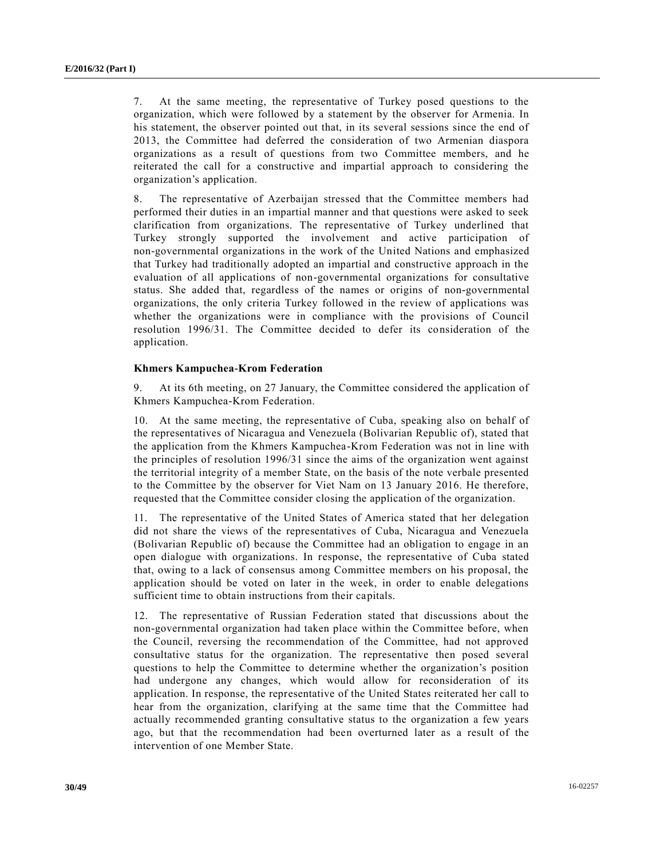7. At the same meeting, the representative of Turkey posed questions to the organization, which were followed by a statement by the observer for Armenia. In his statement, the observer pointed out that, in its several sessions since the end of 2013, the Committee had deferred the consideration of two Armenian diaspora organizations as a result of questions from two Committee members, and he reiterated the call for a constructive and impartial approach to considering the organization's application.

8. The representative of Azerbaijan stressed that the Committee members had performed their duties in an impartial manner and that questions were asked to seek clarification from organizations. The representative of Turkey underlined that Turkey strongly supported the involvement and active participation of non-governmental organizations in the work of the United Nations and emphasized that Turkey had traditionally adopted an impartial and constructive approach in the evaluation of all applications of non-governmental organizations for consultative status. She added that, regardless of the names or origins of non-governmental organizations, the only criteria Turkey followed in the review of applications was whether the organizations were in compliance with the provisions of Council resolution 1996/31. The Committee decided to defer its consideration of the application.

### **Khmers Kampuchea-Krom Federation**

9. At its 6th meeting, on 27 January, the Committee considered the application of Khmers Kampuchea-Krom Federation.

10. At the same meeting, the representative of Cuba, speaking also on behalf of the representatives of Nicaragua and Venezuela (Bolivarian Republic of), stated that the application from the Khmers Kampuchea-Krom Federation was not in line with the principles of resolution 1996/31 since the aims of the organization went against the territorial integrity of a member State, on the basis of the note verbale presented to the Committee by the observer for Viet Nam on 13 January 2016. He therefore, requested that the Committee consider closing the application of the organization.

11. The representative of the United States of America stated that her delegation did not share the views of the representatives of Cuba, Nicaragua and Venezuela (Bolivarian Republic of) because the Committee had an obligation to engage in an open dialogue with organizations. In response, the representative of Cuba stated that, owing to a lack of consensus among Committee members on his proposal, the application should be voted on later in the week, in order to enable delegations sufficient time to obtain instructions from their capitals.

12. The representative of Russian Federation stated that discussions about the non-governmental organization had taken place within the Committee before, when the Council, reversing the recommendation of the Committee, had not approved consultative status for the organization. The representative then posed several questions to help the Committee to determine whether the organization's position had undergone any changes, which would allow for reconsideration of its application. In response, the representative of the United States reiterated her call to hear from the organization, clarifying at the same time that the Committee had actually recommended granting consultative status to the organization a few years ago, but that the recommendation had been overturned later as a result of the intervention of one Member State.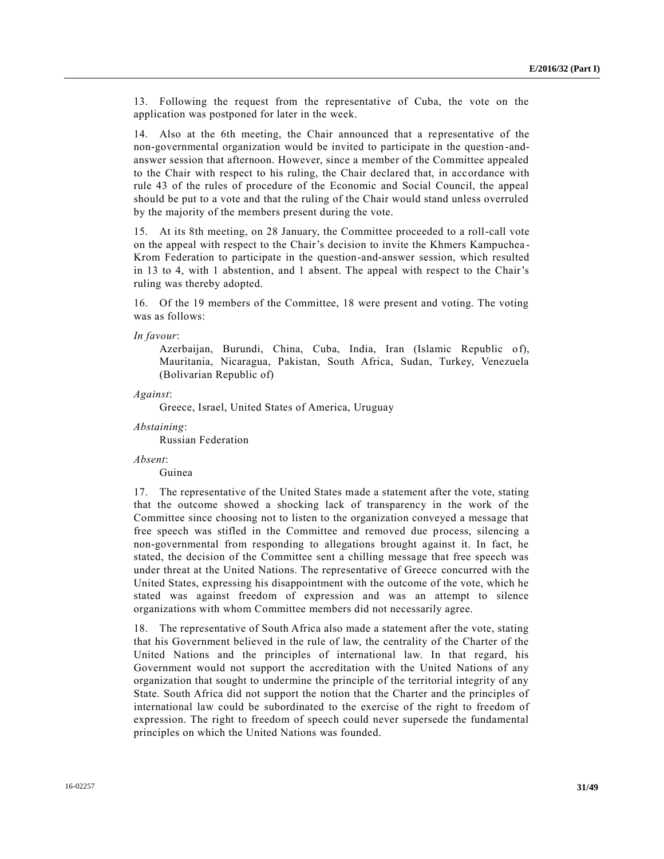13. Following the request from the representative of Cuba, the vote on the application was postponed for later in the week.

14. Also at the 6th meeting, the Chair announced that a representative of the non-governmental organization would be invited to participate in the question -andanswer session that afternoon. However, since a member of the Committee appealed to the Chair with respect to his ruling, the Chair declared that, in accordance with rule 43 of the rules of procedure of the Economic and Social Council, the appeal should be put to a vote and that the ruling of the Chair would stand unless overruled by the majority of the members present during the vote.

15. At its 8th meeting, on 28 January, the Committee proceeded to a roll-call vote on the appeal with respect to the Chair's decision to invite the Khmers Kampuchea - Krom Federation to participate in the question-and-answer session, which resulted in 13 to 4, with 1 abstention, and 1 absent. The appeal with respect to the Chair's ruling was thereby adopted.

16. Of the 19 members of the Committee, 18 were present and voting. The voting was as follows:

*In favour*:

Azerbaijan, Burundi, China, Cuba, India, Iran (Islamic Republic of), Mauritania, Nicaragua, Pakistan, South Africa, Sudan, Turkey, Venezuela (Bolivarian Republic of)

*Against*:

Greece, Israel, United States of America, Uruguay

*Abstaining*:

Russian Federation

*Absent*:

Guinea

17. The representative of the United States made a statement after the vote, stating that the outcome showed a shocking lack of transparency in the work of the Committee since choosing not to listen to the organization conveyed a message that free speech was stifled in the Committee and removed due process, silencing a non-governmental from responding to allegations brought against it. In fact, he stated, the decision of the Committee sent a chilling message that free speech was under threat at the United Nations. The representative of Greece concurred with the United States, expressing his disappointment with the outcome of the vote, which he stated was against freedom of expression and was an attempt to silence organizations with whom Committee members did not necessarily agree.

18. The representative of South Africa also made a statement after the vote, stating that his Government believed in the rule of law, the centrality of the Charter of the United Nations and the principles of international law. In that regard, his Government would not support the accreditation with the United Nations of any organization that sought to undermine the principle of the territorial integrity of any State. South Africa did not support the notion that the Charter and the principles of international law could be subordinated to the exercise of the right to freedom of expression. The right to freedom of speech could never supersede the fundamental principles on which the United Nations was founded.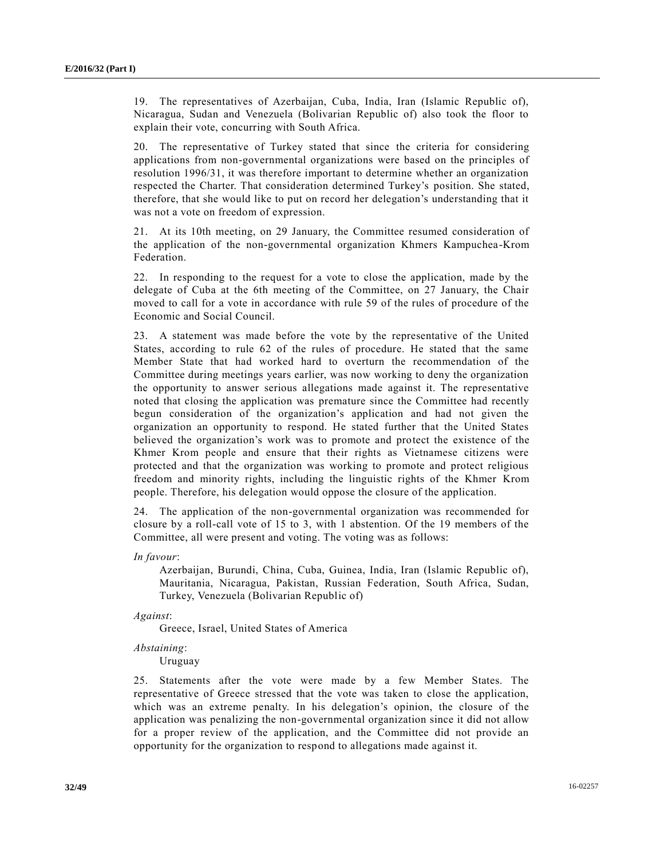19. The representatives of Azerbaijan, Cuba, India, Iran (Islamic Republic of), Nicaragua, Sudan and Venezuela (Bolivarian Republic of) also took the floor to explain their vote, concurring with South Africa.

20. The representative of Turkey stated that since the criteria for considering applications from non-governmental organizations were based on the principles of resolution 1996/31, it was therefore important to determine whether an organization respected the Charter. That consideration determined Turkey's position. She stated, therefore, that she would like to put on record her delegation's understanding that it was not a vote on freedom of expression.

21. At its 10th meeting, on 29 January, the Committee resumed consideration of the application of the non-governmental organization Khmers Kampuchea-Krom Federation.

22. In responding to the request for a vote to close the application, made by the delegate of Cuba at the 6th meeting of the Committee, on 27 January, the Chair moved to call for a vote in accordance with rule 59 of the rules of procedure of the Economic and Social Council.

23. A statement was made before the vote by the representative of the United States, according to rule 62 of the rules of procedure. He stated that the same Member State that had worked hard to overturn the recommendation of the Committee during meetings years earlier, was now working to deny the organization the opportunity to answer serious allegations made against it. The representative noted that closing the application was premature since the Committee had recently begun consideration of the organization's application and had not given the organization an opportunity to respond. He stated further that the United States believed the organization's work was to promote and protect the existence of the Khmer Krom people and ensure that their rights as Vietnamese citizens were protected and that the organization was working to promote and protect religious freedom and minority rights, including the linguistic rights of the Khmer Krom people. Therefore, his delegation would oppose the closure of the application.

24. The application of the non-governmental organization was recommended for closure by a roll-call vote of 15 to 3, with 1 abstention. Of the 19 members of the Committee, all were present and voting. The voting was as follows:

*In favour*:

Azerbaijan, Burundi, China, Cuba, Guinea, India, Iran (Islamic Republic of), Mauritania, Nicaragua, Pakistan, Russian Federation, South Africa, Sudan, Turkey, Venezuela (Bolivarian Republic of)

*Against*:

Greece, Israel, United States of America

*Abstaining*:

Uruguay

25. Statements after the vote were made by a few Member States. The representative of Greece stressed that the vote was taken to close the application, which was an extreme penalty. In his delegation's opinion, the closure of the application was penalizing the non-governmental organization since it did not allow for a proper review of the application, and the Committee did not provide an opportunity for the organization to respond to allegations made against it.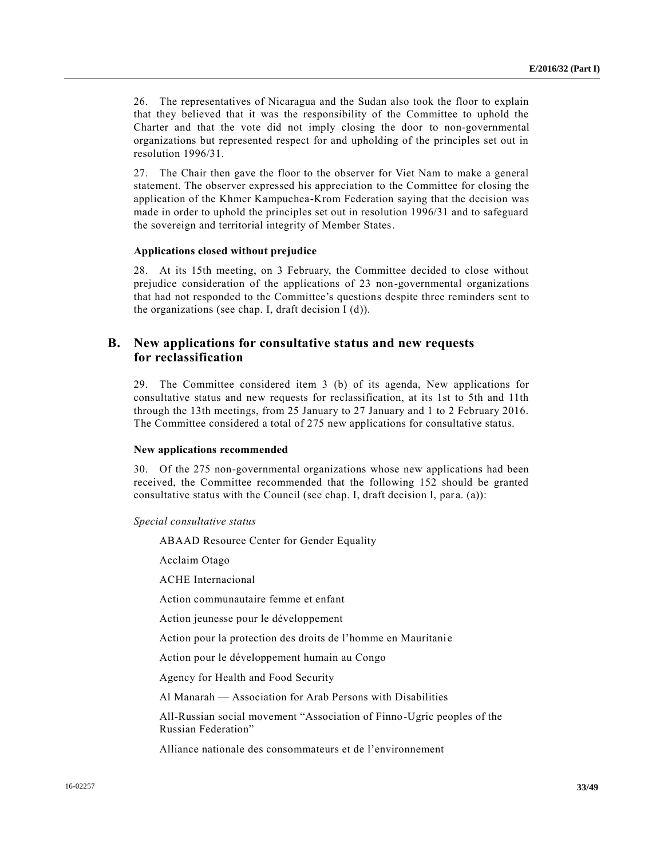26. The representatives of Nicaragua and the Sudan also took the floor to explain that they believed that it was the responsibility of the Committee to uphold the Charter and that the vote did not imply closing the door to non-governmental organizations but represented respect for and upholding of the principles set out in resolution 1996/31.

27. The Chair then gave the floor to the observer for Viet Nam to make a general statement. The observer expressed his appreciation to the Committee for closing the application of the Khmer Kampuchea-Krom Federation saying that the decision was made in order to uphold the principles set out in resolution 1996/31 and to safeguard the sovereign and territorial integrity of Member States.

#### **Applications closed without prejudice**

28. At its 15th meeting, on 3 February, the Committee decided to close without prejudice consideration of the applications of 23 non-governmental organizations that had not responded to the Committee's questions despite three reminders sent to the organizations (see chap. I, draft decision I (d)).

## **B. New applications for consultative status and new requests for reclassification**

29. The Committee considered item 3 (b) of its agenda, New applications for consultative status and new requests for reclassification, at its 1st to 5th and 11th through the 13th meetings, from 25 January to 27 January and 1 to 2 February 2016. The Committee considered a total of 275 new applications for consultative status.

#### **New applications recommended**

30. Of the 275 non-governmental organizations whose new applications had been received, the Committee recommended that the following 152 should be granted consultative status with the Council (see chap. I, draft decision I, para. (a)):

*Special consultative status*

ABAAD Resource Center for Gender Equality

Acclaim Otago

ACHE Internacional

Action communautaire femme et enfant

Action jeunesse pour le développement

Action pour la protection des droits de l'homme en Mauritanie

Action pour le développement humain au Congo

Agency for Health and Food Security

Al Manarah — Association for Arab Persons with Disabilities

All-Russian social movement "Association of Finno-Ugric peoples of the Russian Federation"

Alliance nationale des consommateurs et de l'environnement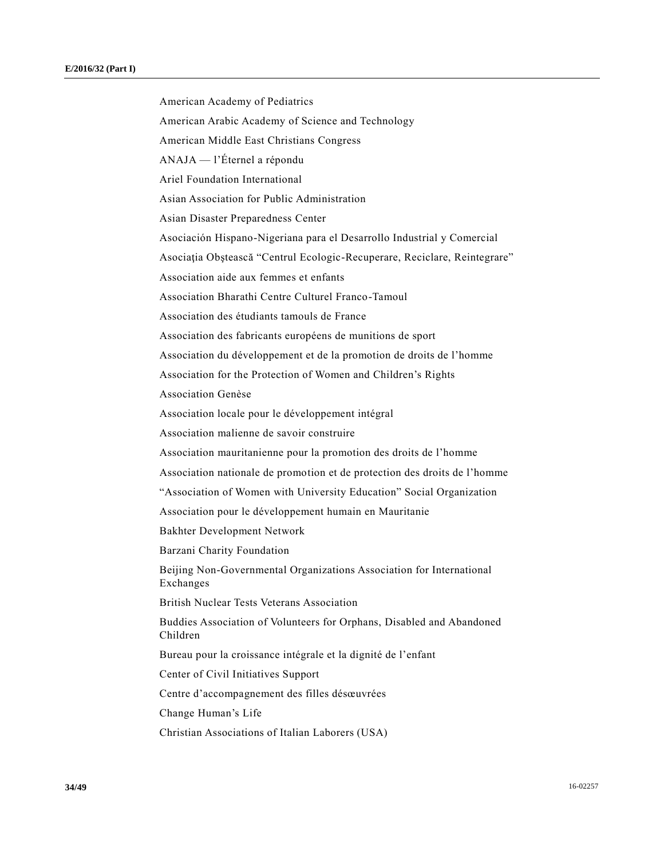American Academy of Pediatrics American Arabic Academy of Science and Technology American Middle East Christians Congress ANAJA — l'Éternel a répondu Ariel Foundation International Asian Association for Public Administration Asian Disaster Preparedness Center Asociación Hispano-Nigeriana para el Desarrollo Industrial y Comercial Asociaţia Obştească "Centrul Ecologic-Recuperare, Reciclare, Reintegrare" Association aide aux femmes et enfants Association Bharathi Centre Culturel Franco-Tamoul Association des étudiants tamouls de France Association des fabricants européens de munitions de sport Association du développement et de la promotion de droits de l'homme Association for the Protection of Women and Children's Rights Association Genèse Association locale pour le développement intégral Association malienne de savoir construire Association mauritanienne pour la promotion des droits de l'homme Association nationale de promotion et de protection des droits de l'homme "Association of Women with University Education" Social Organization Association pour le développement humain en Mauritanie Bakhter Development Network Barzani Charity Foundation Beijing Non-Governmental Organizations Association for International Exchanges British Nuclear Tests Veterans Association Buddies Association of Volunteers for Orphans, Disabled and Abandoned Children Bureau pour la croissance intégrale et la dignité de l'enfant Center of Civil Initiatives Support Centre d'accompagnement des filles désœuvrées Change Human's Life Christian Associations of Italian Laborers (USA)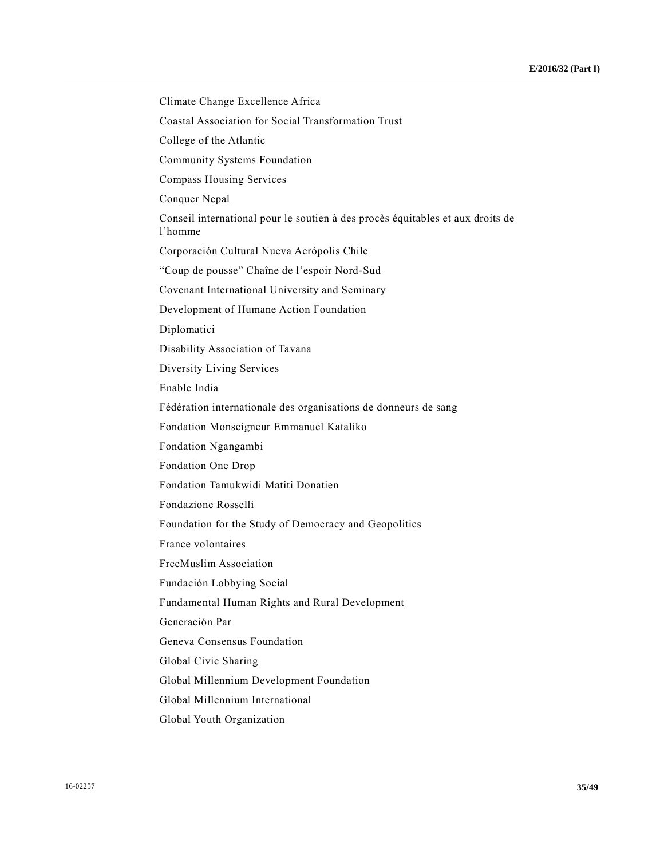Climate Change Excellence Africa Coastal Association for Social Transformation Trust College of the Atlantic Community Systems Foundation Compass Housing Services Conquer Nepal Conseil international pour le soutien à des procès équitables et aux droits de l'homme Corporación Cultural Nueva Acrópolis Chile "Coup de pousse" Chaîne de l'espoir Nord-Sud Covenant International University and Seminary Development of Humane Action Foundation Diplomatici Disability Association of Tavana Diversity Living Services Enable India Fédération internationale des organisations de donneurs de sang Fondation Monseigneur Emmanuel Kataliko Fondation Ngangambi Fondation One Drop Fondation Tamukwidi Matiti Donatien Fondazione Rosselli Foundation for the Study of Democracy and Geopolitics France volontaires FreeMuslim Association Fundación Lobbying Social Fundamental Human Rights and Rural Development Generación Par Geneva Consensus Foundation Global Civic Sharing Global Millennium Development Foundation Global Millennium International Global Youth Organization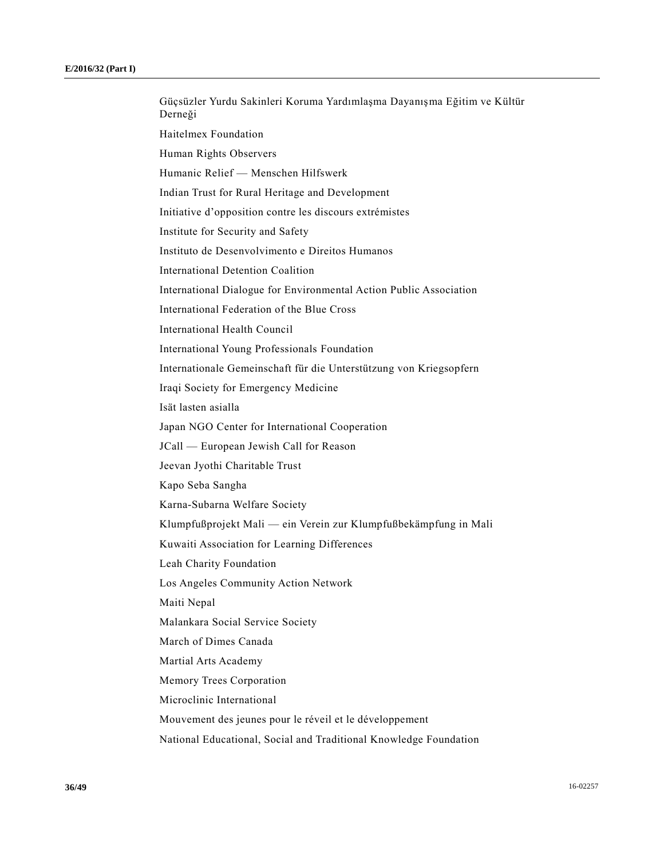Güçsüzler Yurdu Sakinleri Koruma Yardımlaşma Dayanışma Eğitim ve Kültür Derneği Haitelmex Foundation Human Rights Observers Humanic Relief — Menschen Hilfswerk Indian Trust for Rural Heritage and Development Initiative d'opposition contre les discours extrémistes Institute for Security and Safety Instituto de Desenvolvimento e Direitos Humanos International Detention Coalition International Dialogue for Environmental Action Public Association International Federation of the Blue Cross International Health Council International Young Professionals Foundation Internationale Gemeinschaft für die Unterstützung von Kriegsopfern Iraqi Society for Emergency Medicine Isät lasten asialla Japan NGO Center for International Cooperation JCall — European Jewish Call for Reason Jeevan Jyothi Charitable Trust Kapo Seba Sangha Karna-Subarna Welfare Society Klumpfußprojekt Mali — ein Verein zur Klumpfußbekämpfung in Mali Kuwaiti Association for Learning Differences Leah Charity Foundation Los Angeles Community Action Network Maiti Nepal Malankara Social Service Society March of Dimes Canada Martial Arts Academy Memory Trees Corporation Microclinic International Mouvement des jeunes pour le réveil et le développement National Educational, Social and Traditional Knowledge Foundation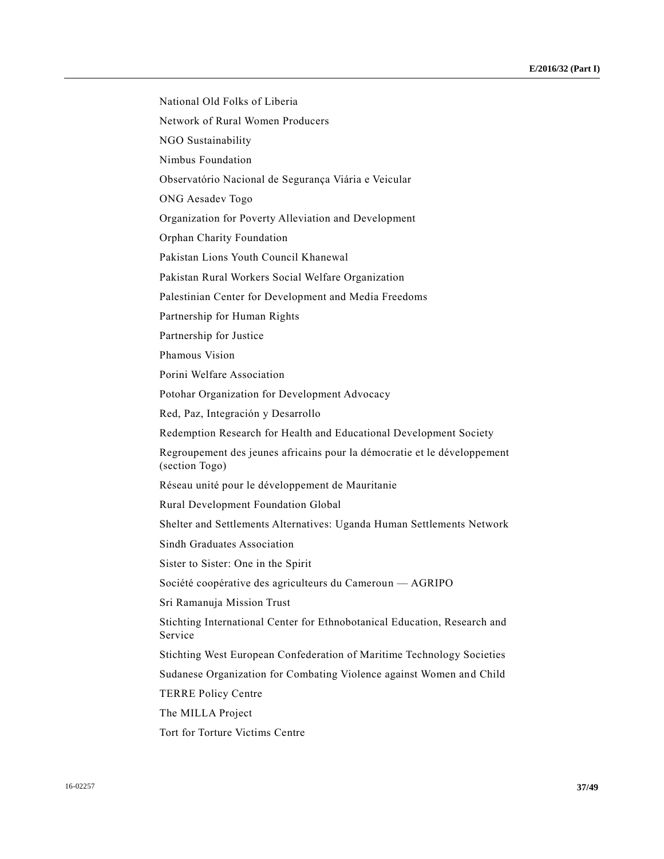National Old Folks of Liberia Network of Rural Women Producers NGO Sustainability Nimbus Foundation Observatório Nacional de Segurança Viária e Veicular ONG Aesadev Togo Organization for Poverty Alleviation and Development Orphan Charity Foundation Pakistan Lions Youth Council Khanewal Pakistan Rural Workers Social Welfare Organization Palestinian Center for Development and Media Freedoms Partnership for Human Rights Partnership for Justice Phamous Vision Porini Welfare Association Potohar Organization for Development Advocacy Red, Paz, Integración y Desarrollo Redemption Research for Health and Educational Development Society Regroupement des jeunes africains pour la démocratie et le développement (section Togo) Réseau unité pour le développement de Mauritanie Rural Development Foundation Global Shelter and Settlements Alternatives: Uganda Human Settlements Network Sindh Graduates Association Sister to Sister: One in the Spirit Société coopérative des agriculteurs du Cameroun — AGRIPO Sri Ramanuja Mission Trust Stichting International Center for Ethnobotanical Education, Research and Service Stichting West European Confederation of Maritime Technology Societies Sudanese Organization for Combating Violence against Women and Child TERRE Policy Centre The MILLA Project Tort for Torture Victims Centre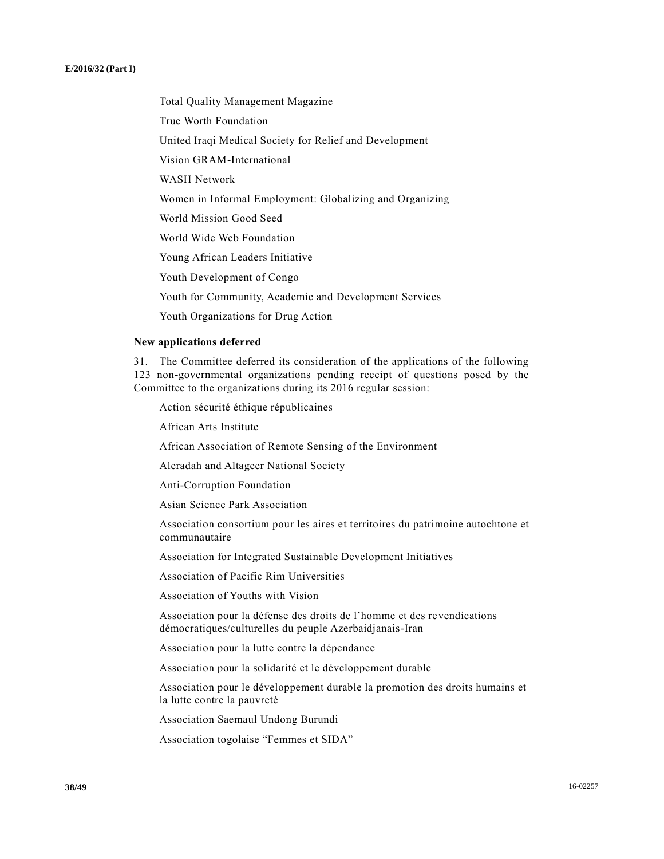Total Quality Management Magazine

True Worth Foundation

United Iraqi Medical Society for Relief and Development

Vision GRAM-International

WASH Network

Women in Informal Employment: Globalizing and Organizing

World Mission Good Seed

World Wide Web Foundation

Young African Leaders Initiative

Youth Development of Congo

Youth for Community, Academic and Development Services

Youth Organizations for Drug Action

#### **New applications deferred**

31. The Committee deferred its consideration of the applications of the following 123 non-governmental organizations pending receipt of questions posed by the Committee to the organizations during its 2016 regular session:

Action sécurité éthique républicaines

African Arts Institute

African Association of Remote Sensing of the Environment

Aleradah and Altageer National Society

Anti-Corruption Foundation

Asian Science Park Association

Association consortium pour les aires et territoires du patrimoine autochtone et communautaire

Association for Integrated Sustainable Development Initiatives

Association of Pacific Rim Universities

Association of Youths with Vision

Association pour la défense des droits de l'homme et des revendications démocratiques/culturelles du peuple Azerbaidjanais-Iran

Association pour la lutte contre la dépendance

Association pour la solidarité et le développement durable

Association pour le développement durable la promotion des droits humains et la lutte contre la pauvreté

Association Saemaul Undong Burundi

Association togolaise "Femmes et SIDA"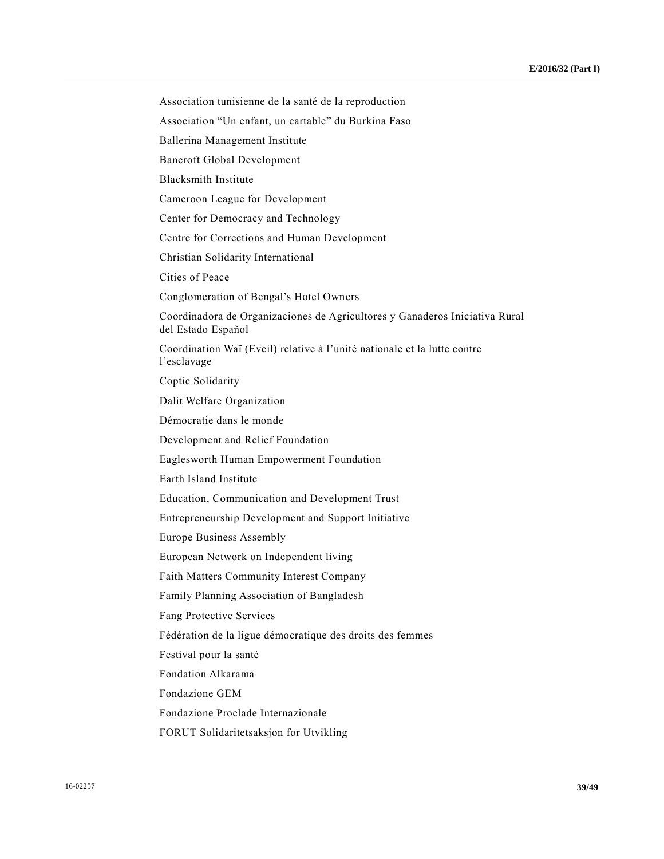Association tunisienne de la santé de la reproduction

Association "Un enfant, un cartable" du Burkina Faso

Ballerina Management Institute

Bancroft Global Development

Blacksmith Institute

Cameroon League for Development

Center for Democracy and Technology

Centre for Corrections and Human Development

Christian Solidarity International

Cities of Peace

Conglomeration of Bengal's Hotel Owners

Coordinadora de Organizaciones de Agricultores y Ganaderos Iniciativa Rural del Estado Español

Coordination Waï (Eveil) relative à l'unité nationale et la lutte contre l'esclavage

Coptic Solidarity

Dalit Welfare Organization

Démocratie dans le monde

Development and Relief Foundation

Eaglesworth Human Empowerment Foundation

Earth Island Institute

Education, Communication and Development Trust

Entrepreneurship Development and Support Initiative

Europe Business Assembly

European Network on Independent living

Faith Matters Community Interest Company

Family Planning Association of Bangladesh

Fang Protective Services

Fédération de la ligue démocratique des droits des femmes

Festival pour la santé

Fondation Alkarama

Fondazione GEM

Fondazione Proclade Internazionale

FORUT Solidaritetsaksjon for Utvikling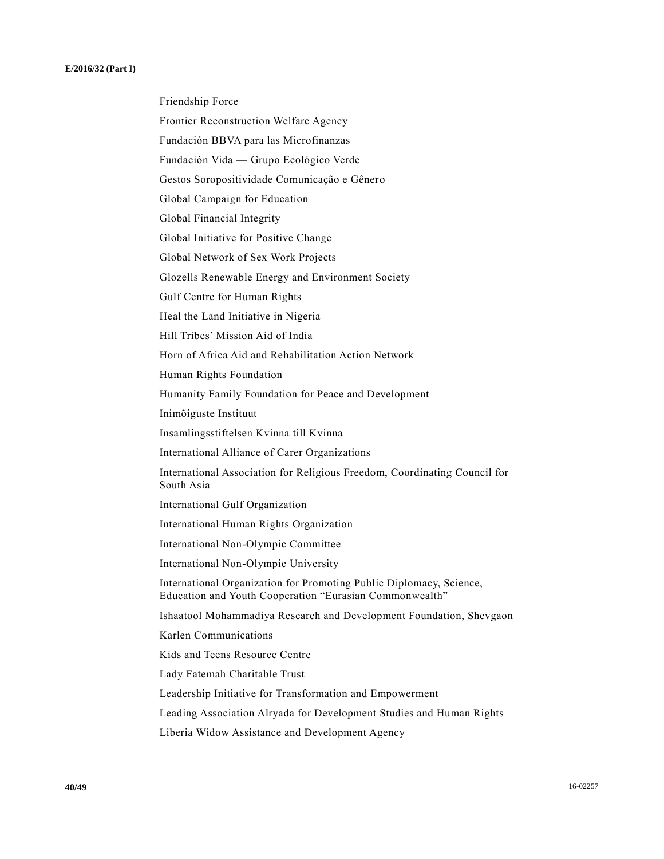Friendship Force Frontier Reconstruction Welfare Agency Fundación BBVA para las Microfinanzas Fundación Vida — Grupo Ecológico Verde Gestos Soropositividade Comunicação e Gênero Global Campaign for Education Global Financial Integrity Global Initiative for Positive Change Global Network of Sex Work Projects Glozells Renewable Energy and Environment Society Gulf Centre for Human Rights Heal the Land Initiative in Nigeria Hill Tribes' Mission Aid of India Horn of Africa Aid and Rehabilitation Action Network Human Rights Foundation Humanity Family Foundation for Peace and Development Inimõiguste Instituut Insamlingsstiftelsen Kvinna till Kvinna International Alliance of Carer Organizations International Association for Religious Freedom, Coordinating Council for South Asia International Gulf Organization International Human Rights Organization International Non-Olympic Committee International Non-Olympic University International Organization for Promoting Public Diplomacy, Science, Education and Youth Cooperation "Eurasian Commonwealth" Ishaatool Mohammadiya Research and Development Foundation, Shevgaon Karlen Communications Kids and Teens Resource Centre Lady Fatemah Charitable Trust Leadership Initiative for Transformation and Empowerment Leading Association Alryada for Development Studies and Human Rights Liberia Widow Assistance and Development Agency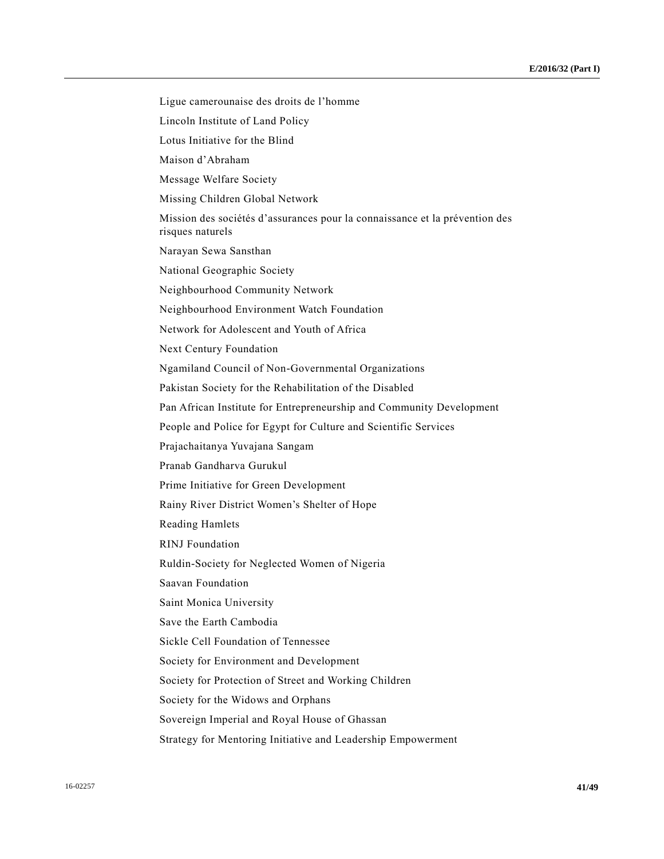Ligue camerounaise des droits de l'homme Lincoln Institute of Land Policy Lotus Initiative for the Blind Maison d'Abraham Message Welfare Society Missing Children Global Network Mission des sociétés d'assurances pour la connaissance et la prévention des risques naturels Narayan Sewa Sansthan National Geographic Society Neighbourhood Community Network Neighbourhood Environment Watch Foundation Network for Adolescent and Youth of Africa Next Century Foundation Ngamiland Council of Non-Governmental Organizations Pakistan Society for the Rehabilitation of the Disabled Pan African Institute for Entrepreneurship and Community Development People and Police for Egypt for Culture and Scientific Services Prajachaitanya Yuvajana Sangam Pranab Gandharva Gurukul Prime Initiative for Green Development Rainy River District Women's Shelter of Hope Reading Hamlets RINJ Foundation Ruldin-Society for Neglected Women of Nigeria Saavan Foundation Saint Monica University Save the Earth Cambodia Sickle Cell Foundation of Tennessee Society for Environment and Development Society for Protection of Street and Working Children Society for the Widows and Orphans Sovereign Imperial and Royal House of Ghassan Strategy for Mentoring Initiative and Leadership Empowerment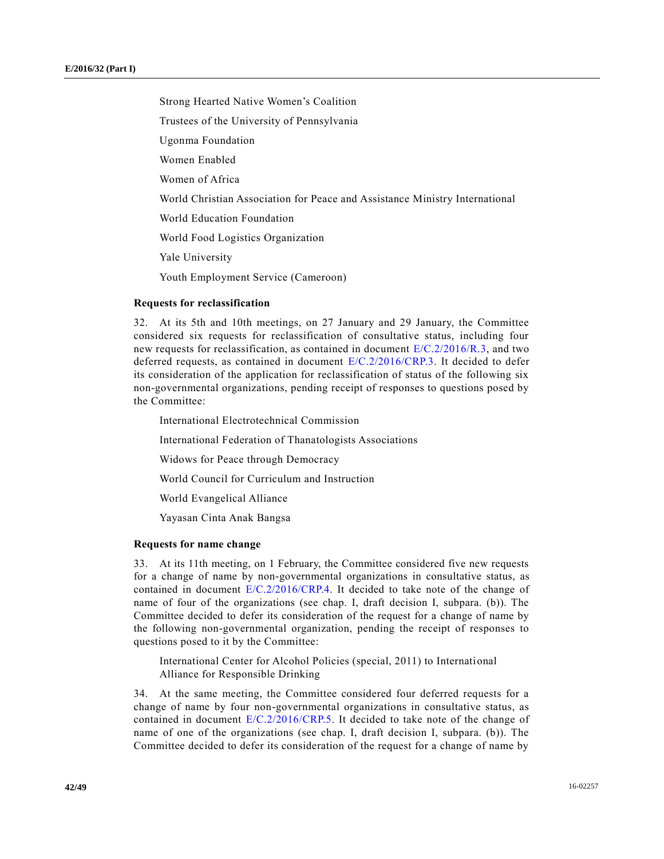Strong Hearted Native Women's Coalition Trustees of the University of Pennsylvania Ugonma Foundation Women Enabled Women of Africa World Christian Association for Peace and Assistance Ministry International World Education Foundation World Food Logistics Organization Yale University Youth Employment Service (Cameroon)

#### **Requests for reclassification**

32. At its 5th and 10th meetings, on 27 January and 29 January, the Committee considered six requests for reclassification of consultative status, including four new requests for reclassification, as contained in document  $E/C.2/2016/R.3$ , and two deferred requests, as contained in document [E/C.2/2016/CRP.3.](http://undocs.org/E/C.2/2016/CRP.3) It decided to defer its consideration of the application for reclassification of status of the following six non-governmental organizations, pending receipt of responses to questions posed by the Committee:

International Electrotechnical Commission

International Federation of Thanatologists Associations

Widows for Peace through Democracy

World Council for Curriculum and Instruction

World Evangelical Alliance

Yayasan Cinta Anak Bangsa

#### **Requests for name change**

33. At its 11th meeting, on 1 February, the Committee considered five new requests for a change of name by non-governmental organizations in consultative status, as contained in document  $E/C.2/2016/CRP.4$ . It decided to take note of the change of name of four of the organizations (see chap. I, draft decision I, subpara. (b)). The Committee decided to defer its consideration of the request for a change of name by the following non-governmental organization, pending the receipt of responses to questions posed to it by the Committee:

International Center for Alcohol Policies (special, 2011) to International Alliance for Responsible Drinking

34. At the same meeting, the Committee considered four deferred requests for a change of name by four non-governmental organizations in consultative status, as contained in document [E/C.2/2016/CRP.5.](http://undocs.org/E/C.2/2016/CRP.5) It decided to take note of the change of name of one of the organizations (see chap. I, draft decision I, subpara. (b)). The Committee decided to defer its consideration of the request for a change of name by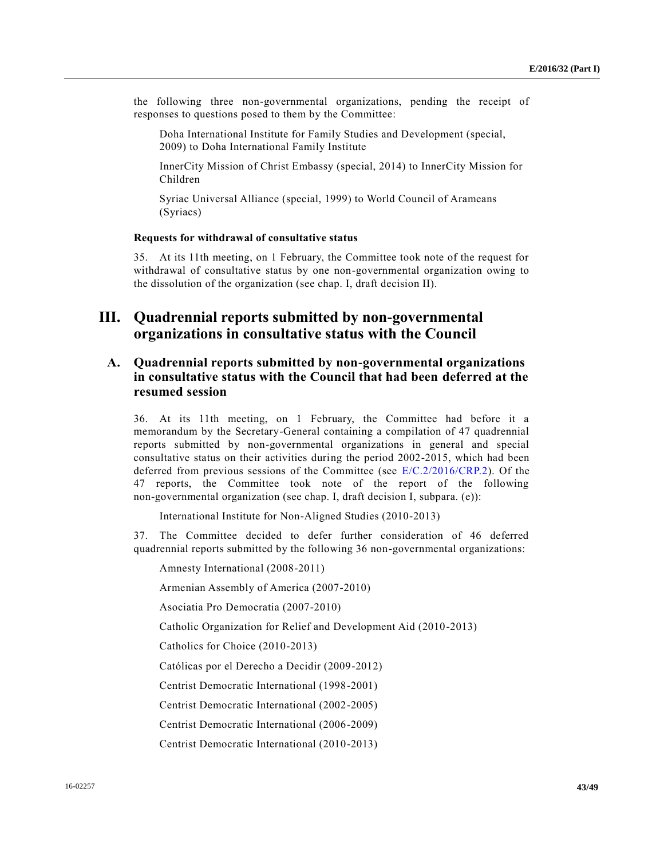the following three non-governmental organizations, pending the receipt of responses to questions posed to them by the Committee:

Doha International Institute for Family Studies and Development (special, 2009) to Doha International Family Institute

InnerCity Mission of Christ Embassy (special, 2014) to InnerCity Mission for Children

Syriac Universal Alliance (special, 1999) to World Council of Arameans (Syriacs)

#### **Requests for withdrawal of consultative status**

35. At its 11th meeting, on 1 February, the Committee took note of the request for withdrawal of consultative status by one non-governmental organization owing to the dissolution of the organization (see chap. I, draft decision II).

# **III. Quadrennial reports submitted by non-governmental organizations in consultative status with the Council**

## **A. Quadrennial reports submitted by non-governmental organizations in consultative status with the Council that had been deferred at the resumed session**

36. At its 11th meeting, on 1 February, the Committee had before it a memorandum by the Secretary-General containing a compilation of 47 quadrennial reports submitted by non-governmental organizations in general and special consultative status on their activities during the period 2002-2015, which had been deferred from previous sessions of the Committee (see [E/C.2/2016/CRP.2\)](http://undocs.org/E/C.2/2016/CRP.2). Of the 47 reports, the Committee took note of the report of the following non-governmental organization (see chap. I, draft decision I, subpara. (e)):

International Institute for Non-Aligned Studies (2010-2013)

37. The Committee decided to defer further consideration of 46 deferred quadrennial reports submitted by the following 36 non-governmental organizations:

Amnesty International (2008-2011)

Armenian Assembly of America (2007-2010)

Asociatia Pro Democratia (2007-2010)

Catholic Organization for Relief and Development Aid (2010-2013)

Catholics for Choice (2010-2013)

Católicas por el Derecho a Decidir (2009-2012)

Centrist Democratic International (1998-2001)

Centrist Democratic International (2002-2005)

Centrist Democratic International (2006-2009)

Centrist Democratic International (2010-2013)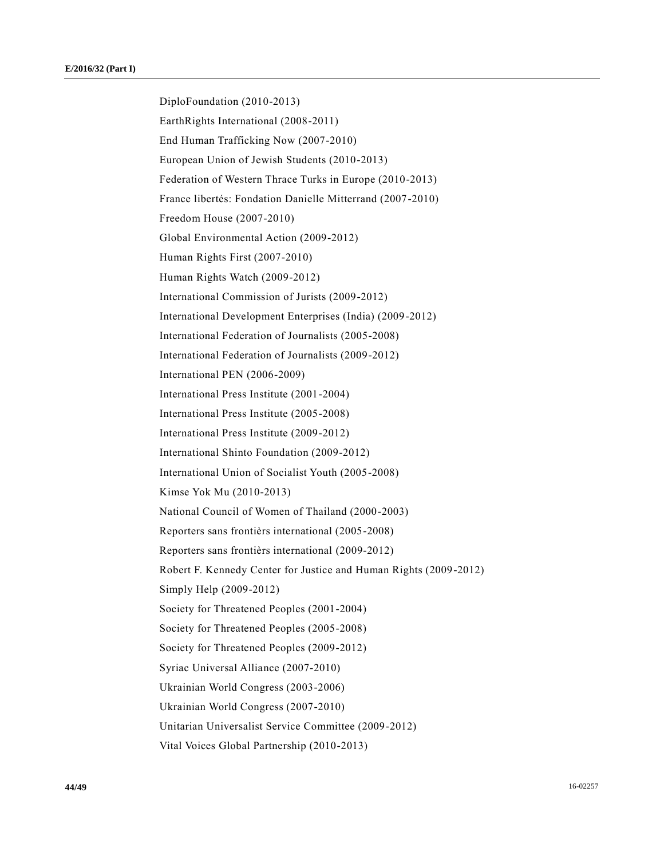DiploFoundation (2010-2013) EarthRights International (2008-2011) End Human Trafficking Now (2007-2010) European Union of Jewish Students (2010-2013) Federation of Western Thrace Turks in Europe (2010-2013) France libertés: Fondation Danielle Mitterrand (2007-2010) Freedom House (2007-2010) Global Environmental Action (2009-2012) Human Rights First (2007-2010) Human Rights Watch (2009-2012) International Commission of Jurists (2009-2012) International Development Enterprises (India) (2009-2012) International Federation of Journalists (2005-2008) International Federation of Journalists (2009-2012) International PEN (2006-2009) International Press Institute (2001-2004) International Press Institute (2005-2008) International Press Institute (2009-2012) International Shinto Foundation (2009-2012) International Union of Socialist Youth (2005-2008) Kimse Yok Mu (2010-2013) National Council of Women of Thailand (2000-2003) Reporters sans frontièrs international (2005-2008) Reporters sans frontièrs international (2009-2012) Robert F. Kennedy Center for Justice and Human Rights (2009-2012) Simply Help (2009-2012) Society for Threatened Peoples (2001-2004) Society for Threatened Peoples (2005-2008) Society for Threatened Peoples (2009-2012) Syriac Universal Alliance (2007-2010) Ukrainian World Congress (2003-2006) Ukrainian World Congress (2007-2010) Unitarian Universalist Service Committee (2009-2012) Vital Voices Global Partnership (2010-2013)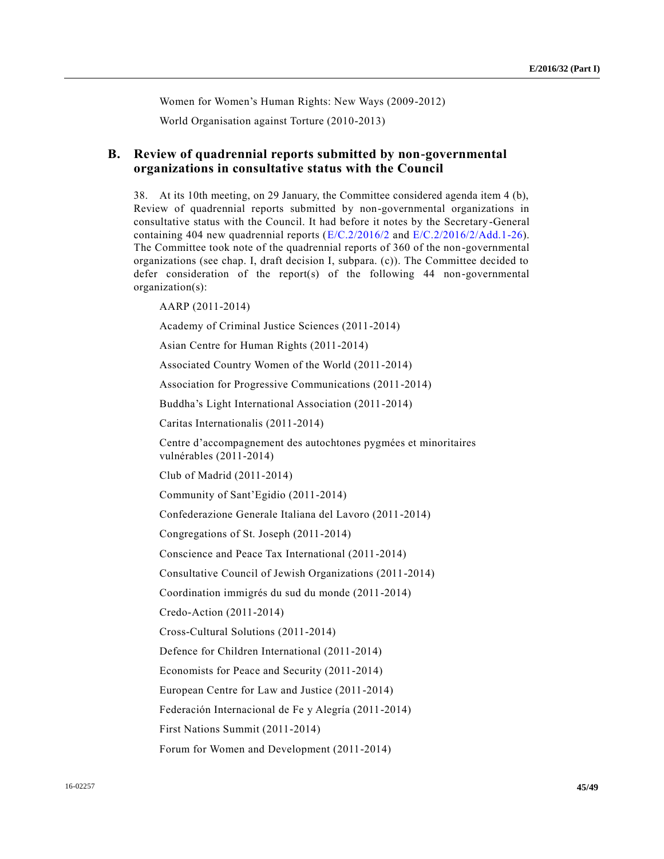Women for Women's Human Rights: New Ways (2009-2012)

World Organisation against Torture (2010-2013)

## **B. Review of quadrennial reports submitted by non-governmental organizations in consultative status with the Council**

38. At its 10th meeting, on 29 January, the Committee considered agenda item 4 (b), Review of quadrennial reports submitted by non-governmental organizations in consultative status with the Council. It had before it notes by the Secretary-General containing 404 new quadrennial reports  $(E/C.2/2016/2$  and  $E/C.2/2016/2/Add.1-26)$ . The Committee took note of the quadrennial reports of 360 of the non-governmental organizations (see chap. I, draft decision I, subpara. (c)). The Committee decided to defer consideration of the report(s) of the following  $44$  non-governmental organization(s):

AARP (2011-2014)

Academy of Criminal Justice Sciences (2011-2014)

Asian Centre for Human Rights (2011-2014)

Associated Country Women of the World (2011-2014)

Association for Progressive Communications (2011-2014)

Buddha's Light International Association (2011-2014)

Caritas Internationalis (2011-2014)

Centre d'accompagnement des autochtones pygmées et minoritaires vulnérables (2011-2014)

Club of Madrid (2011-2014)

Community of Sant'Egidio (2011-2014)

Confederazione Generale Italiana del Lavoro (2011-2014)

Congregations of St. Joseph (2011-2014)

Conscience and Peace Tax International (2011-2014)

Consultative Council of Jewish Organizations (2011-2014)

Coordination immigrés du sud du monde (2011-2014)

Credo-Action (2011-2014)

Cross-Cultural Solutions (2011-2014)

Defence for Children International (2011-2014)

Economists for Peace and Security (2011-2014)

European Centre for Law and Justice (2011-2014)

Federación Internacional de Fe y Alegría (2011-2014)

First Nations Summit (2011-2014)

Forum for Women and Development (2011-2014)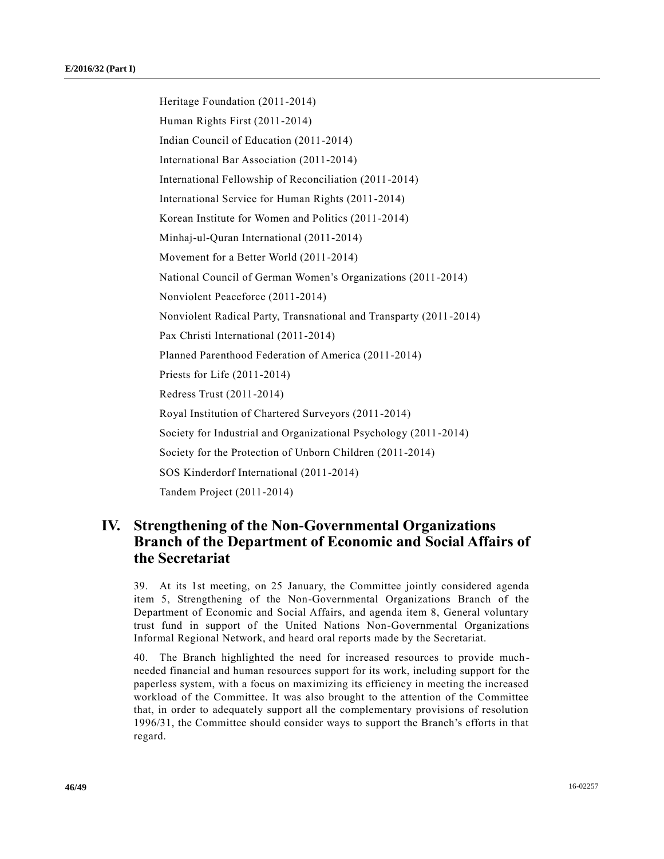Heritage Foundation (2011-2014) Human Rights First (2011-2014) Indian Council of Education (2011-2014) International Bar Association (2011-2014) International Fellowship of Reconciliation (2011-2014) International Service for Human Rights (2011-2014) Korean Institute for Women and Politics (2011-2014) Minhaj-ul-Quran International (2011-2014) Movement for a Better World (2011-2014) National Council of German Women's Organizations (2011-2014) Nonviolent Peaceforce (2011-2014) Nonviolent Radical Party, Transnational and Transparty (2011-2014) Pax Christi International (2011-2014) Planned Parenthood Federation of America (2011-2014) Priests for Life (2011-2014) Redress Trust (2011-2014) Royal Institution of Chartered Surveyors (2011-2014) Society for Industrial and Organizational Psychology (2011-2014) Society for the Protection of Unborn Children (2011-2014) SOS Kinderdorf International (2011-2014) Tandem Project (2011-2014)

# **IV. Strengthening of the Non-Governmental Organizations Branch of the Department of Economic and Social Affairs of the Secretariat**

39. At its 1st meeting, on 25 January, the Committee jointly considered agenda item 5, Strengthening of the Non-Governmental Organizations Branch of the Department of Economic and Social Affairs, and agenda item 8, General voluntary trust fund in support of the United Nations Non-Governmental Organizations Informal Regional Network, and heard oral reports made by the Secretariat.

40. The Branch highlighted the need for increased resources to provide much needed financial and human resources support for its work, including support for the paperless system, with a focus on maximizing its efficiency in meeting the increased workload of the Committee. It was also brought to the attention of the Committee that, in order to adequately support all the complementary provisions of resolution 1996/31, the Committee should consider ways to support the Branch's efforts in that regard.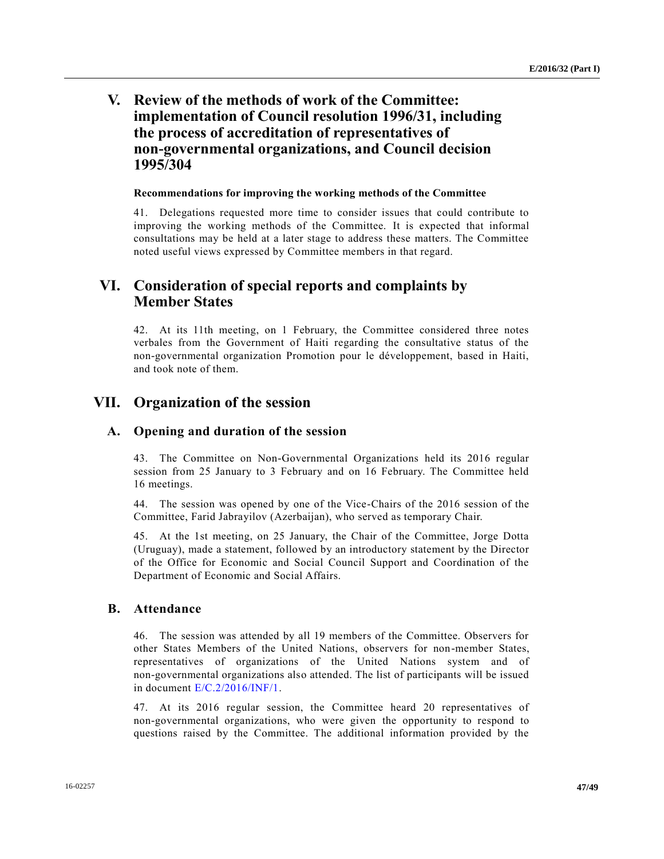# **V. Review of the methods of work of the Committee: implementation of Council resolution 1996/31, including the process of accreditation of representatives of non-governmental organizations, and Council decision 1995/304**

### **Recommendations for improving the working methods of the Committee**

41. Delegations requested more time to consider issues that could contribute to improving the working methods of the Committee. It is expected that informal consultations may be held at a later stage to address these matters. The Committee noted useful views expressed by Committee members in that regard.

# **VI. Consideration of special reports and complaints by Member States**

42. At its 11th meeting, on 1 February, the Committee considered three notes verbales from the Government of Haiti regarding the consultative status of the non-governmental organization Promotion pour le développement, based in Haiti, and took note of them.

# **VII. Organization of the session**

### **A. Opening and duration of the session**

43. The Committee on Non-Governmental Organizations held its 2016 regular session from 25 January to 3 February and on 16 February. The Committee held 16 meetings.

44. The session was opened by one of the Vice-Chairs of the 2016 session of the Committee, Farid Jabrayilov (Azerbaijan), who served as temporary Chair.

45. At the 1st meeting, on 25 January, the Chair of the Committee, Jorge Dotta (Uruguay), made a statement, followed by an introductory statement by the Director of the Office for Economic and Social Council Support and Coordination of the Department of Economic and Social Affairs.

## **B. Attendance**

46. The session was attended by all 19 members of the Committee. Observers for other States Members of the United Nations, observers for non-member States, representatives of organizations of the United Nations system and of non-governmental organizations also attended. The list of participants will be issued in document [E/C.2/2016/INF/1.](http://undocs.org/E/C.2/2016/INF/1)

47. At its 2016 regular session, the Committee heard 20 representatives of non-governmental organizations, who were given the opportunity to respond to questions raised by the Committee. The additional information provided by the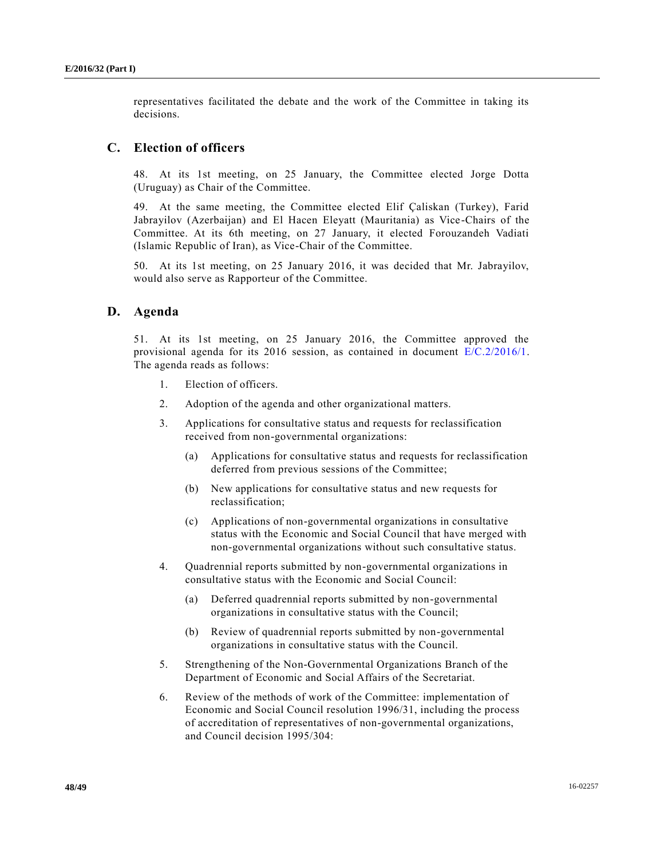representatives facilitated the debate and the work of the Committee in taking its decisions.

### **C. Election of officers**

48. At its 1st meeting, on 25 January, the Committee elected Jorge Dotta (Uruguay) as Chair of the Committee.

49. At the same meeting, the Committee elected Elif Çaliskan (Turkey), Farid Jabrayilov (Azerbaijan) and El Hacen Eleyatt (Mauritania) as Vice-Chairs of the Committee. At its 6th meeting, on 27 January, it elected Forouzandeh Vadiati (Islamic Republic of Iran), as Vice-Chair of the Committee.

50. At its 1st meeting, on 25 January 2016, it was decided that Mr. Jabrayilov, would also serve as Rapporteur of the Committee.

### **D. Agenda**

51. At its 1st meeting, on 25 January 2016, the Committee approved the provisional agenda for its 2016 session, as contained in document [E/C.2/2016/1.](http://undocs.org/E/C.2/2016/1) The agenda reads as follows:

- 1. Election of officers.
- 2. Adoption of the agenda and other organizational matters.
- 3. Applications for consultative status and requests for reclassification received from non-governmental organizations:
	- (a) Applications for consultative status and requests for reclassification deferred from previous sessions of the Committee;
	- (b) New applications for consultative status and new requests for reclassification;
	- (c) Applications of non-governmental organizations in consultative status with the Economic and Social Council that have merged with non-governmental organizations without such consultative status.
- 4. Quadrennial reports submitted by non-governmental organizations in consultative status with the Economic and Social Council:
	- (a) Deferred quadrennial reports submitted by non-governmental organizations in consultative status with the Council;
	- (b) Review of quadrennial reports submitted by non-governmental organizations in consultative status with the Council.
- 5. Strengthening of the Non-Governmental Organizations Branch of the Department of Economic and Social Affairs of the Secretariat.
- 6. Review of the methods of work of the Committee: implementation of Economic and Social Council resolution 1996/31, including the process of accreditation of representatives of non-governmental organizations, and Council decision 1995/304: